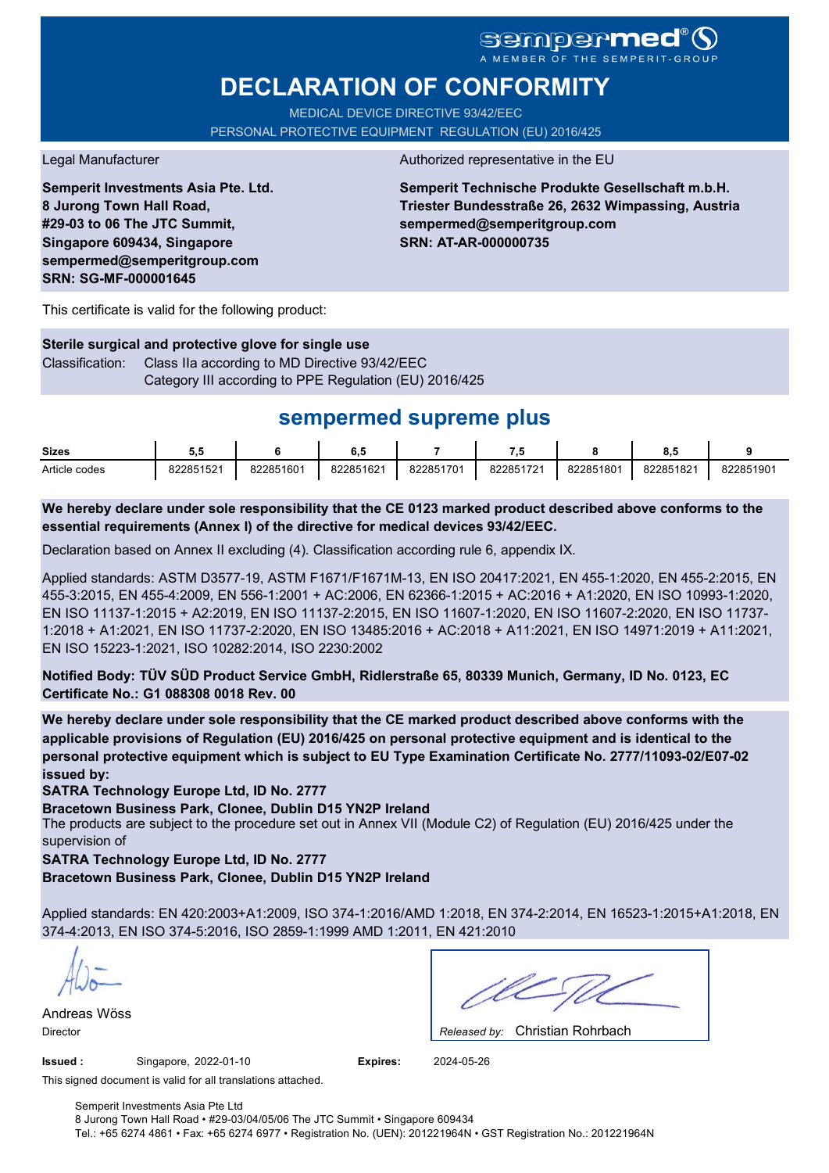# **sempermed**

# **DECLARATION OF CONFORMITY**

MEDICAL DEVICE DIRECTIVE 93/42/EEC PERSONAL PROTECTIVE EQUIPMENT REGULATION (EU) 2016/425

**Semperit Investments Asia Pte. Ltd. 8 Jurong Town Hall Road, #29-03 to 06 The JTC Summit, Singapore 609434, Singapore sempermed@semperitgroup.com SRN: SG-MF-000001645**

#### Legal Manufacturer **Authorized representative in the EU**

**Semperit Technische Produkte Gesellschaft m.b.H. Triester Bundesstraße 26, 2632 Wimpassing, Austria sempermed@semperitgroup.com SRN: AT-AR-000000735**

This certificate is valid for the following product:

**Sterile surgical and protective glove for single use** Classification: Class IIa according to MD Directive 93/42/EEC Category III according to PPE Regulation (EU) 2016/425

# **sempermed supreme plus**

| <b>Sizes</b>  | ບ.ບ       |           | ο         |           | - 7       |           | ο.υ       |           |
|---------------|-----------|-----------|-----------|-----------|-----------|-----------|-----------|-----------|
| Article codes | 822851521 | 822851601 | 822851621 | 822851701 | 822851721 | 822851801 | 822851821 | 822851901 |

**We hereby declare under sole responsibility that the CE 0123 marked product described above conforms to the essential requirements (Annex I) of the directive for medical devices 93/42/EEC.**

Declaration based on Annex II excluding (4). Classification according rule 6, appendix IX.

Applied standards: ASTM D3577-19, ASTM F1671/F1671M-13, EN ISO 20417:2021, EN 455-1:2020, EN 455-2:2015, EN 455-3:2015, EN 455-4:2009, EN 556-1:2001 + AC:2006, EN 62366-1:2015 + AC:2016 + A1:2020, EN ISO 10993-1:2020, EN ISO 11137-1:2015 + A2:2019, EN ISO 11137-2:2015, EN ISO 11607-1:2020, EN ISO 11607-2:2020, EN ISO 11737- 1:2018 + A1:2021, EN ISO 11737-2:2020, EN ISO 13485:2016 + AC:2018 + A11:2021, EN ISO 14971:2019 + A11:2021, EN ISO 15223-1:2021, ISO 10282:2014, ISO 2230:2002

**Notified Body: TÜV SÜD Product Service GmbH, Ridlerstraße 65, 80339 Munich, Germany, ID No. 0123, EC Certificate No.: G1 088308 0018 Rev. 00** 

**We hereby declare under sole responsibility that the CE marked product described above conforms with the applicable provisions of Regulation (EU) 2016/425 on personal protective equipment and is identical to the personal protective equipment which is subject to EU Type Examination Certificate No. 2777/11093-02/E07-02 issued by:**

**SATRA Technology Europe Ltd, ID No. 2777**

**Bracetown Business Park, Clonee, Dublin D15 YN2P Ireland**

The products are subject to the procedure set out in Annex VII (Module C2) of Regulation (EU) 2016/425 under the supervision of

**SATRA Technology Europe Ltd, ID No. 2777**

**Bracetown Business Park, Clonee, Dublin D15 YN2P Ireland**

Applied standards: EN 420:2003+A1:2009, ISO 374-1:2016/AMD 1:2018, EN 374-2:2014, EN 16523-1:2015+A1:2018, EN 374-4:2013, EN ISO 374-5:2016, ISO 2859-1:1999 AMD 1:2011, EN 421:2010

Andreas Wöss

Christian Rohrbach Director *Released by:* 

**Issued :** Singapore, 2022-01-10 **Expires:** 2024-05-26

This signed document is valid for all translations attached.

Semperit Investments Asia Pte Ltd 8 Jurong Town Hall Road • #29-03/04/05/06 The JTC Summit • Singapore 609434 Tel.: +65 6274 4861 • Fax: +65 6274 6977 • Registration No. (UEN): 201221964N • GST Registration No.: 201221964N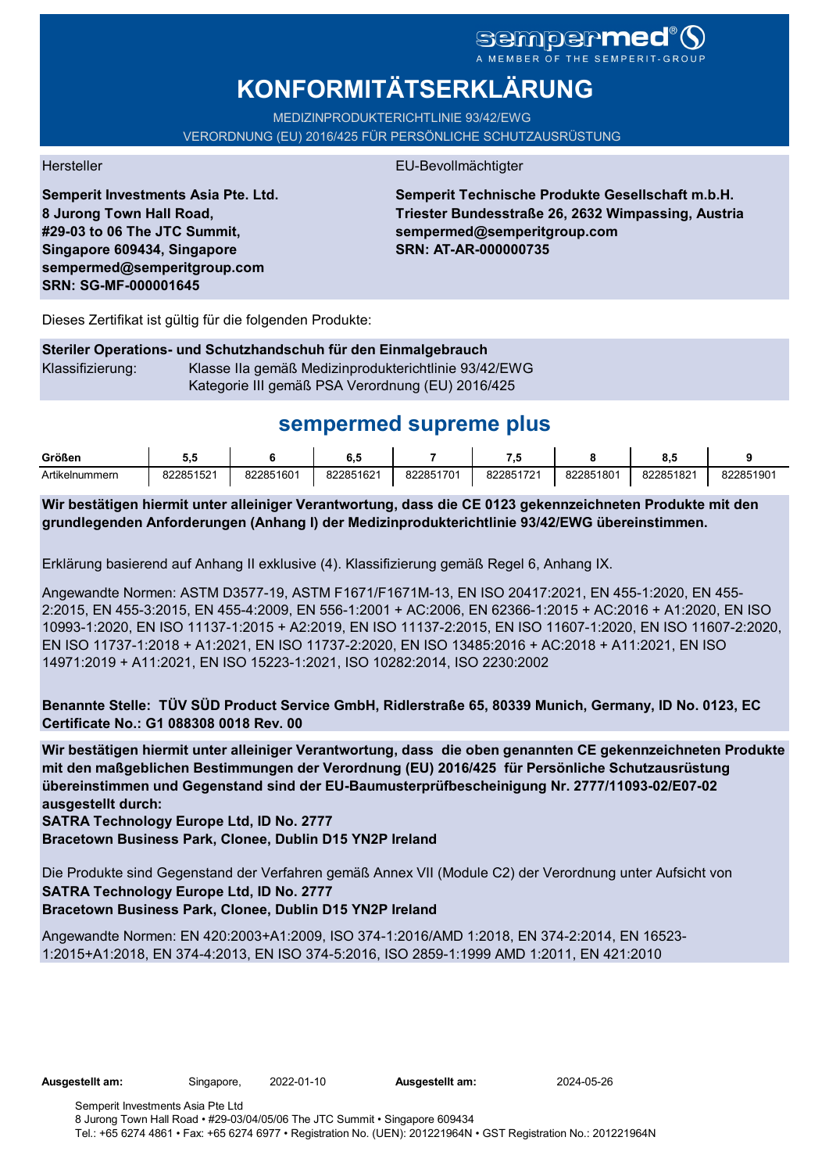# sempermed

# **KONFORMITÄTSERKLÄRUNG**

MEDIZINPRODUKTERICHTLINIE 93/42/EWG VERORDNUNG (EU) 2016/425 FÜR PERSÖNLICHE SCHUTZAUSRÜSTUNG

**Semperit Investments Asia Pte. Ltd. 8 Jurong Town Hall Road, #29-03 to 06 The JTC Summit, Singapore 609434, Singapore sempermed@semperitgroup.com SRN: SG-MF-000001645**

## Hersteller EU-Bevollmächtigter

**Semperit Technische Produkte Gesellschaft m.b.H. Triester Bundesstraße 26, 2632 Wimpassing, Austria sempermed@semperitgroup.com SRN: AT-AR-000000735**

Dieses Zertifikat ist gültig für die folgenden Produkte:

## **Steriler Operations- und Schutzhandschuh für den Einmalgebrauch** Klassifizierung: Klasse IIa gemäß Medizinprodukterichtlinie 93/42/EWG Kategorie III gemäß PSA Verordnung (EU) 2016/425

# **sempermed supreme plus**

| Größen         | v.v       |           | v.v       |           | .         |           | - 0<br>ο., |           |
|----------------|-----------|-----------|-----------|-----------|-----------|-----------|------------|-----------|
| Artikelnummern | 822851521 | 822851601 | 822851621 | 822851701 | 822851721 | 822851801 | 822851821  | 822851901 |

**Wir bestätigen hiermit unter alleiniger Verantwortung, dass die CE 0123 gekennzeichneten Produkte mit den grundlegenden Anforderungen (Anhang I) der Medizinprodukterichtlinie 93/42/EWG übereinstimmen.**

Erklärung basierend auf Anhang II exklusive (4). Klassifizierung gemäß Regel 6, Anhang IX.

Angewandte Normen: ASTM D3577-19, ASTM F1671/F1671M-13, EN ISO 20417:2021, EN 455-1:2020, EN 455- 2:2015, EN 455-3:2015, EN 455-4:2009, EN 556-1:2001 + AC:2006, EN 62366-1:2015 + AC:2016 + A1:2020, EN ISO 10993-1:2020, EN ISO 11137-1:2015 + A2:2019, EN ISO 11137-2:2015, EN ISO 11607-1:2020, EN ISO 11607-2:2020, EN ISO 11737-1:2018 + A1:2021, EN ISO 11737-2:2020, EN ISO 13485:2016 + AC:2018 + A11:2021, EN ISO 14971:2019 + A11:2021, EN ISO 15223-1:2021, ISO 10282:2014, ISO 2230:2002

**Benannte Stelle: TÜV SÜD Product Service GmbH, Ridlerstraße 65, 80339 Munich, Germany, ID No. 0123, EC Certificate No.: G1 088308 0018 Rev. 00** 

**Wir bestätigen hiermit unter alleiniger Verantwortung, dass die oben genannten CE gekennzeichneten Produkte mit den maßgeblichen Bestimmungen der Verordnung (EU) 2016/425 für Persönliche Schutzausrüstung übereinstimmen und Gegenstand sind der EU-Baumusterprüfbescheinigung Nr. 2777/11093-02/E07-02 ausgestellt durch:**

## **SATRA Technology Europe Ltd, ID No. 2777**

**Bracetown Business Park, Clonee, Dublin D15 YN2P Ireland**

Die Produkte sind Gegenstand der Verfahren gemäß Annex VII (Module C2) der Verordnung unter Aufsicht von **SATRA Technology Europe Ltd, ID No. 2777**

## **Bracetown Business Park, Clonee, Dublin D15 YN2P Ireland**

Angewandte Normen: EN 420:2003+A1:2009, ISO 374-1:2016/AMD 1:2018, EN 374-2:2014, EN 16523- 1:2015+A1:2018, EN 374-4:2013, EN ISO 374-5:2016, ISO 2859-1:1999 AMD 1:2011, EN 421:2010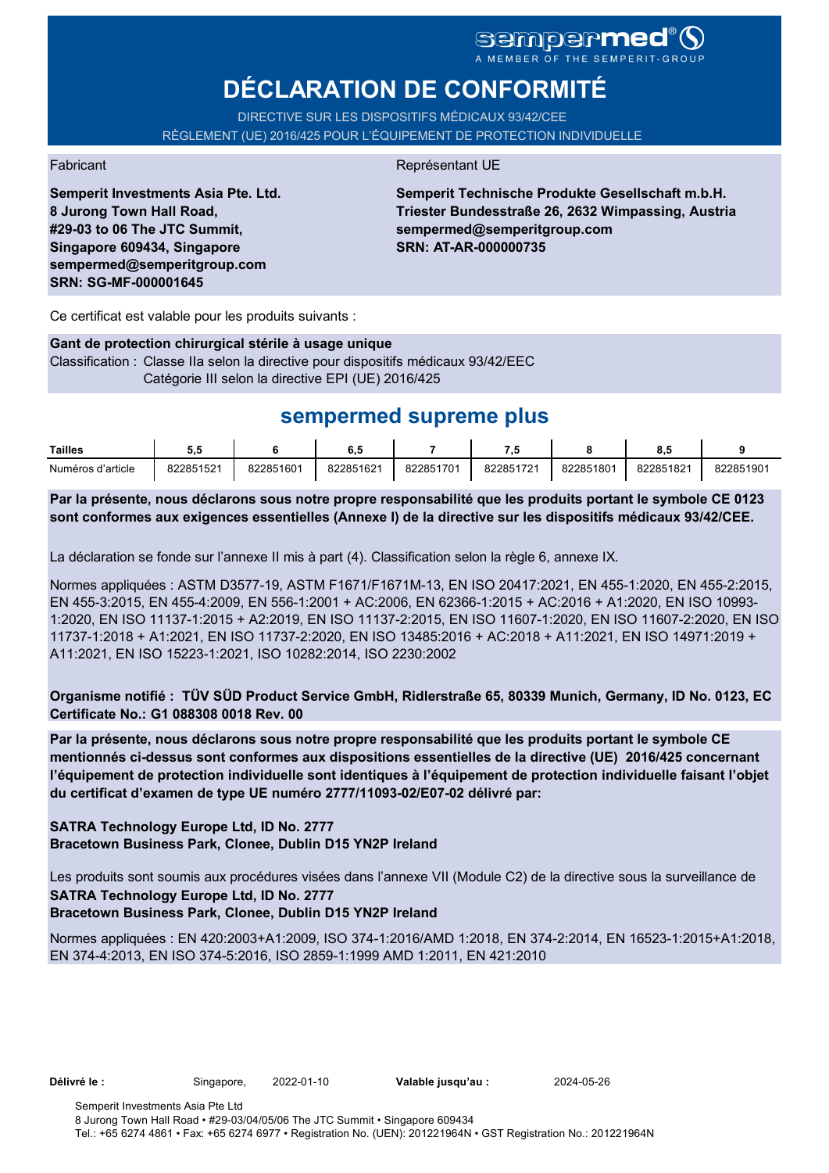# **DÉCLARATION DE CONFORMITÉ**

DIRECTIVE SUR LES DISPOSITIFS MÉDICAUX 93/42/CEE RÈGLEMENT (UE) 2016/425 POUR L'ÉQUIPEMENT DE PROTECTION INDIVIDUELLE

**Semperit Investments Asia Pte. Ltd. 8 Jurong Town Hall Road, #29-03 to 06 The JTC Summit, Singapore 609434, Singapore sempermed@semperitgroup.com SRN: SG-MF-000001645**

### Fabricant **Représentant UE**

**Semperit Technische Produkte Gesellschaft m.b.H. Triester Bundesstraße 26, 2632 Wimpassing, Austria sempermed@semperitgroup.com SRN: AT-AR-000000735**

Ce certificat est valable pour les produits suivants :

#### **Gant de protection chirurgical stérile à usage unique**

Classification : Classe IIa selon la directive pour dispositifs médicaux 93/42/EEC Catégorie III selon la directive EPI (UE) 2016/425

# **sempermed supreme plus**

| Tailles           | v.        |           | υ.,       |           | - 11      |           | υ.,       |           |
|-------------------|-----------|-----------|-----------|-----------|-----------|-----------|-----------|-----------|
| Numéros d'article | 822851521 | 822851601 | 822851621 | 822851701 | 822851721 | 822851801 | 822851821 | 822851901 |

**Par la présente, nous déclarons sous notre propre responsabilité que les produits portant le symbole CE 0123 sont conformes aux exigences essentielles (Annexe I) de la directive sur les dispositifs médicaux 93/42/CEE.**

La déclaration se fonde sur l'annexe II mis à part (4). Classification selon la règle 6, annexe IX.

Normes appliquées : ASTM D3577-19, ASTM F1671/F1671M-13, EN ISO 20417:2021, EN 455-1:2020, EN 455-2:2015, EN 455-3:2015, EN 455-4:2009, EN 556-1:2001 + AC:2006, EN 62366-1:2015 + AC:2016 + A1:2020, EN ISO 10993- 1:2020, EN ISO 11137-1:2015 + A2:2019, EN ISO 11137-2:2015, EN ISO 11607-1:2020, EN ISO 11607-2:2020, EN ISO 11737-1:2018 + A1:2021, EN ISO 11737-2:2020, EN ISO 13485:2016 + AC:2018 + A11:2021, EN ISO 14971:2019 + A11:2021, EN ISO 15223-1:2021, ISO 10282:2014, ISO 2230:2002

**Organisme notifié : TÜV SÜD Product Service GmbH, Ridlerstraße 65, 80339 Munich, Germany, ID No. 0123, EC Certificate No.: G1 088308 0018 Rev. 00** 

**Par la présente, nous déclarons sous notre propre responsabilité que les produits portant le symbole CE mentionnés ci-dessus sont conformes aux dispositions essentielles de la directive (UE) 2016/425 concernant l'équipement de protection individuelle sont identiques à l'équipement de protection individuelle faisant l'objet du certificat d'examen de type UE numéro 2777/11093-02/E07-02 délivré par:**

## **SATRA Technology Europe Ltd, ID No. 2777 Bracetown Business Park, Clonee, Dublin D15 YN2P Ireland**

Les produits sont soumis aux procédures visées dans l'annexe VII (Module C2) de la directive sous la surveillance de **SATRA Technology Europe Ltd, ID No. 2777**

## **Bracetown Business Park, Clonee, Dublin D15 YN2P Ireland**

Normes appliquées : EN 420:2003+A1:2009, ISO 374-1:2016/AMD 1:2018, EN 374-2:2014, EN 16523-1:2015+A1:2018, EN 374-4:2013, EN ISO 374-5:2016, ISO 2859-1:1999 AMD 1:2011, EN 421:2010

**Délivré le :** Singapore, 2022-01-10 **Valable jusqu'au :** 2024-05-26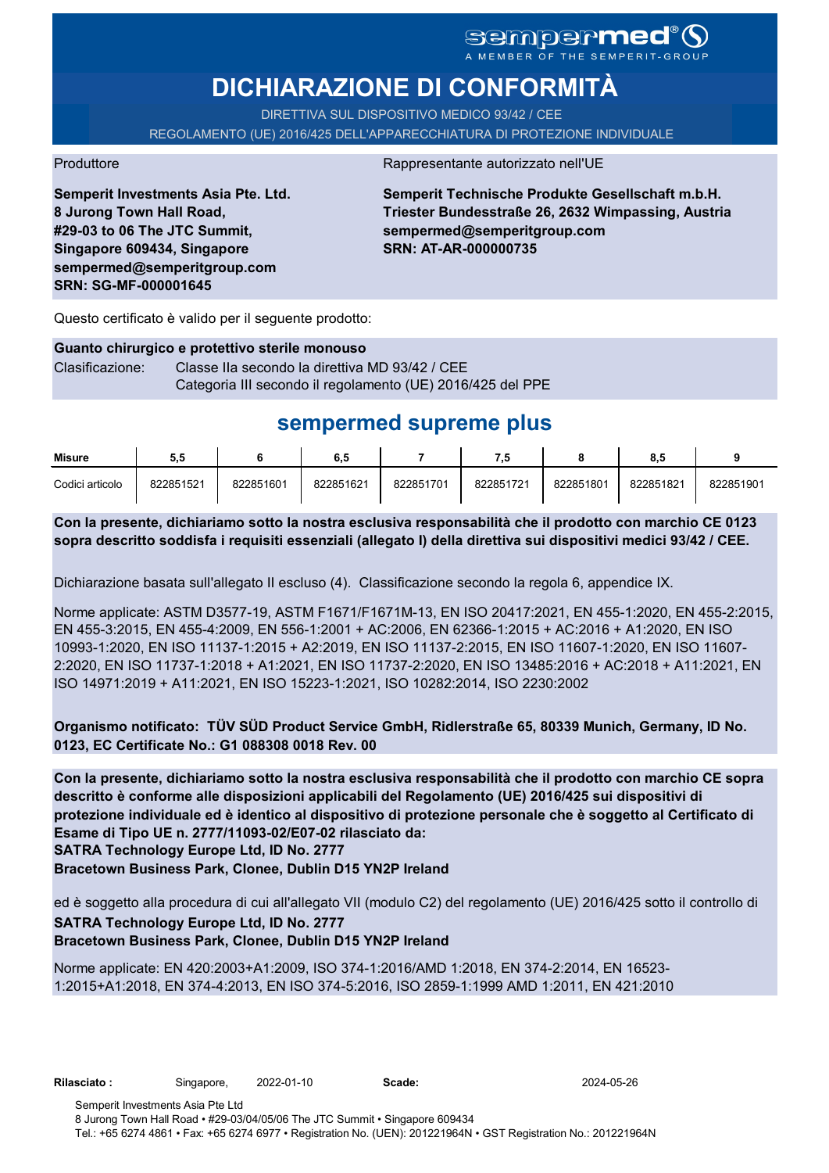# **DICHIARAZIONE DI CONFORMITÀ**

DIRETTIVA SUL DISPOSITIVO MEDICO 93/42 / CEE REGOLAMENTO (UE) 2016/425 DELL'APPARECCHIATURA DI PROTEZIONE INDIVIDUALE

Produttore Rappresentante autorizzato nell'UE

**Semperit Investments Asia Pte. Ltd. 8 Jurong Town Hall Road, #29-03 to 06 The JTC Summit, Singapore 609434, Singapore sempermed@semperitgroup.com SRN: SG-MF-000001645**

**Semperit Technische Produkte Gesellschaft m.b.H. Triester Bundesstraße 26, 2632 Wimpassing, Austria sempermed@semperitgroup.com SRN: AT-AR-000000735**

Questo certificato è valido per il seguente prodotto:

# **Guanto chirurgico e protettivo sterile monouso** Clasificazione: Classe IIa secondo la direttiva MD 93/42 / CEE

Categoria III secondo il regolamento (UE) 2016/425 del PPE

# **sempermed supreme plus**

| Misure          | 5.5       |           | 6.5       |           | - 1       |           | o.a       |           |
|-----------------|-----------|-----------|-----------|-----------|-----------|-----------|-----------|-----------|
| Codici articolo | 822851521 | 822851601 | 822851621 | 822851701 | 822851721 | 822851801 | 822851821 | 822851901 |

**Con la presente, dichiariamo sotto la nostra esclusiva responsabilità che il prodotto con marchio CE 0123 sopra descritto soddisfa i requisiti essenziali (allegato I) della direttiva sui dispositivi medici 93/42 / CEE.**

Dichiarazione basata sull'allegato II escluso (4). Classificazione secondo la regola 6, appendice IX.

Norme applicate: ASTM D3577-19, ASTM F1671/F1671M-13, EN ISO 20417:2021, EN 455-1:2020, EN 455-2:2015, EN 455-3:2015, EN 455-4:2009, EN 556-1:2001 + AC:2006, EN 62366-1:2015 + AC:2016 + A1:2020, EN ISO 10993-1:2020, EN ISO 11137-1:2015 + A2:2019, EN ISO 11137-2:2015, EN ISO 11607-1:2020, EN ISO 11607- 2:2020, EN ISO 11737-1:2018 + A1:2021, EN ISO 11737-2:2020, EN ISO 13485:2016 + AC:2018 + A11:2021, EN ISO 14971:2019 + A11:2021, EN ISO 15223-1:2021, ISO 10282:2014, ISO 2230:2002

**Organismo notificato: TÜV SÜD Product Service GmbH, Ridlerstraße 65, 80339 Munich, Germany, ID No. 0123, EC Certificate No.: G1 088308 0018 Rev. 00** 

**SATRA Technology Europe Ltd, ID No. 2777 Con la presente, dichiariamo sotto la nostra esclusiva responsabilità che il prodotto con marchio CE sopra descritto è conforme alle disposizioni applicabili del Regolamento (UE) 2016/425 sui dispositivi di protezione individuale ed è identico al dispositivo di protezione personale che è soggetto al Certificato di Esame di Tipo UE n. 2777/11093-02/E07-02 rilasciato da:**

**Bracetown Business Park, Clonee, Dublin D15 YN2P Ireland**

ed è soggetto alla procedura di cui all'allegato VII (modulo C2) del regolamento (UE) 2016/425 sotto il controllo di **SATRA Technology Europe Ltd, ID No. 2777**

## **Bracetown Business Park, Clonee, Dublin D15 YN2P Ireland**

Norme applicate: EN 420:2003+A1:2009, ISO 374-1:2016/AMD 1:2018, EN 374-2:2014, EN 16523- 1:2015+A1:2018, EN 374-4:2013, EN ISO 374-5:2016, ISO 2859-1:1999 AMD 1:2011, EN 421:2010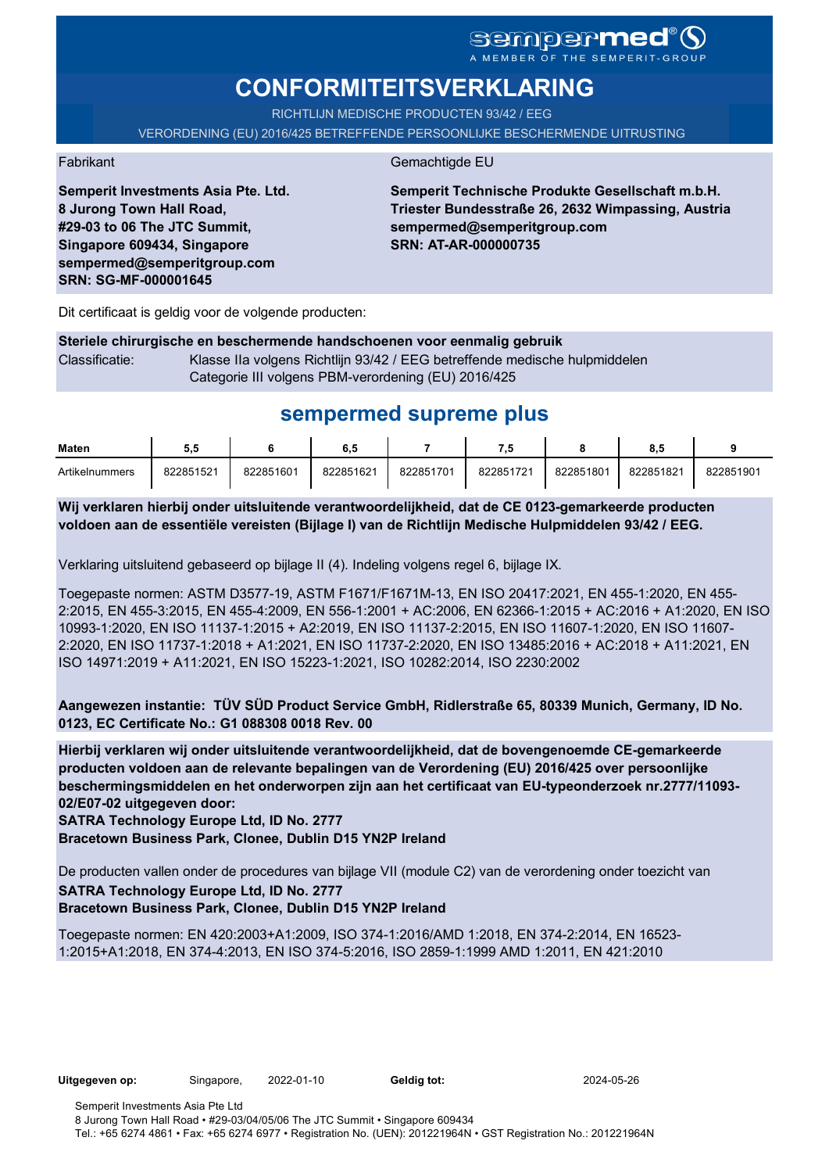# **CONFORMITEITSVERKLARING**

RICHTLIJN MEDISCHE PRODUCTEN 93/42 / EEG

VERORDENING (EU) 2016/425 BETREFFENDE PERSOONLIJKE BESCHERMENDE UITRUSTING

Fabrikant Gemachtigde EU

**Semperit Technische Produkte Gesellschaft m.b.H. Triester Bundesstraße 26, 2632 Wimpassing, Austria sempermed@semperitgroup.com SRN: AT-AR-000000735**

Dit certificaat is geldig voor de volgende producten:

**Semperit Investments Asia Pte. Ltd.**

**8 Jurong Town Hall Road, #29-03 to 06 The JTC Summit, Singapore 609434, Singapore sempermed@semperitgroup.com**

**SRN: SG-MF-000001645**

### **Steriele chirurgische en beschermende handschoenen voor eenmalig gebruik** Classificatie: Klasse IIa volgens Richtlijn 93/42 / EEG betreffende medische hulpmiddelen Categorie III volgens PBM-verordening (EU) 2016/425

# **sempermed supreme plus**

| Maten          | ວ.ະ       |           | 6.5       |           | - 7       |           | о         |           |
|----------------|-----------|-----------|-----------|-----------|-----------|-----------|-----------|-----------|
| Artikelnummers | 822851521 | 822851601 | 822851621 | 822851701 | 822851721 | 822851801 | 822851821 | 822851901 |

**Wij verklaren hierbij onder uitsluitende verantwoordelijkheid, dat de CE 0123-gemarkeerde producten voldoen aan de essentiële vereisten (Bijlage I) van de Richtlijn Medische Hulpmiddelen 93/42 / EEG.**

Verklaring uitsluitend gebaseerd op bijlage II (4). Indeling volgens regel 6, bijlage IX.

Toegepaste normen: ASTM D3577-19, ASTM F1671/F1671M-13, EN ISO 20417:2021, EN 455-1:2020, EN 455- 2:2015, EN 455-3:2015, EN 455-4:2009, EN 556-1:2001 + AC:2006, EN 62366-1:2015 + AC:2016 + A1:2020, EN ISO 10993-1:2020, EN ISO 11137-1:2015 + A2:2019, EN ISO 11137-2:2015, EN ISO 11607-1:2020, EN ISO 11607- 2:2020, EN ISO 11737-1:2018 + A1:2021, EN ISO 11737-2:2020, EN ISO 13485:2016 + AC:2018 + A11:2021, EN ISO 14971:2019 + A11:2021, EN ISO 15223-1:2021, ISO 10282:2014, ISO 2230:2002

**Aangewezen instantie: TÜV SÜD Product Service GmbH, Ridlerstraße 65, 80339 Munich, Germany, ID No. 0123, EC Certificate No.: G1 088308 0018 Rev. 00** 

**Hierbij verklaren wij onder uitsluitende verantwoordelijkheid, dat de bovengenoemde CE-gemarkeerde producten voldoen aan de relevante bepalingen van de Verordening (EU) 2016/425 over persoonlijke beschermingsmiddelen en het onderworpen zijn aan het certificaat van EU-typeonderzoek nr.2777/11093- 02/E07-02 uitgegeven door:**

**SATRA Technology Europe Ltd, ID No. 2777**

**Bracetown Business Park, Clonee, Dublin D15 YN2P Ireland**

De producten vallen onder de procedures van bijlage VII (module C2) van de verordening onder toezicht van **SATRA Technology Europe Ltd, ID No. 2777 Bracetown Business Park, Clonee, Dublin D15 YN2P Ireland**

Toegepaste normen: EN 420:2003+A1:2009, ISO 374-1:2016/AMD 1:2018, EN 374-2:2014, EN 16523- 1:2015+A1:2018, EN 374-4:2013, EN ISO 374-5:2016, ISO 2859-1:1999 AMD 1:2011, EN 421:2010

**Uitgegeven op:** Singapore, 2022-01-10 **Geldig tot:** 2024-05-26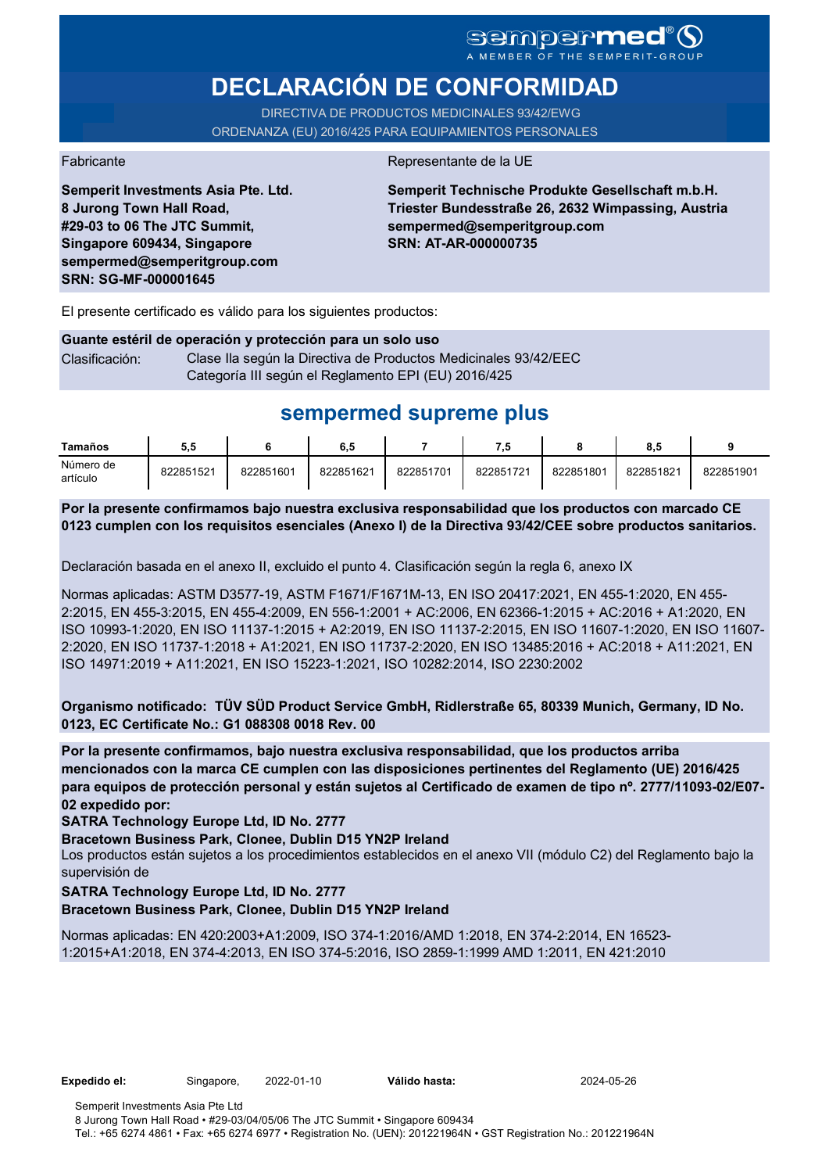# **DECLARACIÓN DE CONFORMIDAD**

DIRECTIVA DE PRODUCTOS MEDICINALES 93/42/EWG ORDENANZA (EU) 2016/425 PARA EQUIPAMIENTOS PERSONALES

**Semperit Investments Asia Pte. Ltd.**

**8 Jurong Town Hall Road, #29-03 to 06 The JTC Summit, Singapore 609434, Singapore sempermed@semperitgroup.com**

**SRN: SG-MF-000001645**

Fabricante de la UE

**Semperit Technische Produkte Gesellschaft m.b.H. Triester Bundesstraße 26, 2632 Wimpassing, Austria sempermed@semperitgroup.com SRN: AT-AR-000000735**

El presente certificado es válido para los siguientes productos:

### **Guante estéril de operación y protección para un solo uso** Clasificación: Clase Ila según la Directiva de Productos Medicinales 93/42/EEC Categoría III según el Reglamento EPI (EU) 2016/425

# **sempermed supreme plus**

| Tamaños               | 5.5       |           | 6,5       |           |           |           | 8.5       |           |
|-----------------------|-----------|-----------|-----------|-----------|-----------|-----------|-----------|-----------|
| Número de<br>artículo | 822851521 | 822851601 | 822851621 | 822851701 | 822851721 | 822851801 | 822851821 | 822851901 |

**Por la presente confirmamos bajo nuestra exclusiva responsabilidad que los productos con marcado CE 0123 cumplen con los requisitos esenciales (Anexo I) de la Directiva 93/42/CEE sobre productos sanitarios.**

Declaración basada en el anexo II, excluido el punto 4. Clasificación según la regla 6, anexo IX

Normas aplicadas: ASTM D3577-19, ASTM F1671/F1671M-13, EN ISO 20417:2021, EN 455-1:2020, EN 455- 2:2015, EN 455-3:2015, EN 455-4:2009, EN 556-1:2001 + AC:2006, EN 62366-1:2015 + AC:2016 + A1:2020, EN ISO 10993-1:2020, EN ISO 11137-1:2015 + A2:2019, EN ISO 11137-2:2015, EN ISO 11607-1:2020, EN ISO 11607- 2:2020, EN ISO 11737-1:2018 + A1:2021, EN ISO 11737-2:2020, EN ISO 13485:2016 + AC:2018 + A11:2021, EN ISO 14971:2019 + A11:2021, EN ISO 15223-1:2021, ISO 10282:2014, ISO 2230:2002

**Organismo notificado: TÜV SÜD Product Service GmbH, Ridlerstraße 65, 80339 Munich, Germany, ID No. 0123, EC Certificate No.: G1 088308 0018 Rev. 00** 

**Por la presente confirmamos, bajo nuestra exclusiva responsabilidad, que los productos arriba mencionados con la marca CE cumplen con las disposiciones pertinentes del Reglamento (UE) 2016/425 para equipos de protección personal y están sujetos al Certificado de examen de tipo nº. 2777/11093-02/E07- 02 expedido por:**

**SATRA Technology Europe Ltd, ID No. 2777**

**Bracetown Business Park, Clonee, Dublin D15 YN2P Ireland**

Los productos están sujetos a los procedimientos establecidos en el anexo VII (módulo C2) del Reglamento bajo la supervisión de

## **SATRA Technology Europe Ltd, ID No. 2777**

**Bracetown Business Park, Clonee, Dublin D15 YN2P Ireland**

Normas aplicadas: EN 420:2003+A1:2009, ISO 374-1:2016/AMD 1:2018, EN 374-2:2014, EN 16523- 1:2015+A1:2018, EN 374-4:2013, EN ISO 374-5:2016, ISO 2859-1:1999 AMD 1:2011, EN 421:2010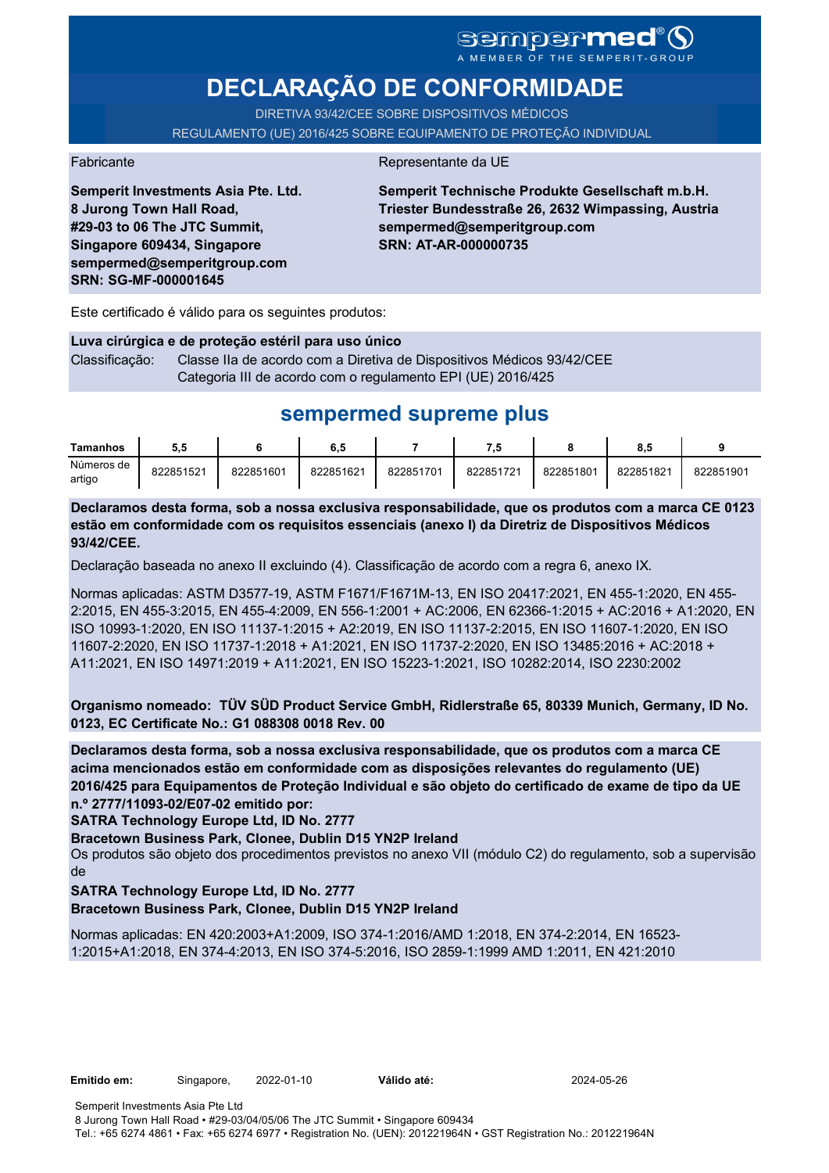# SCMPCFMCC<sup>®</sup>

# **DECLARAÇÃO DE CONFORMIDADE**

DIRETIVA 93/42/CEE SOBRE DISPOSITIVOS MÉDICOS REGULAMENTO (UE) 2016/425 SOBRE EQUIPAMENTO DE PROTEÇÃO INDIVIDUAL

#### Fabricante **Representante da UE**

**Semperit Investments Asia Pte. Ltd. 8 Jurong Town Hall Road, #29-03 to 06 The JTC Summit, Singapore 609434, Singapore sempermed@semperitgroup.com SRN: SG-MF-000001645**

**Semperit Technische Produkte Gesellschaft m.b.H. Triester Bundesstraße 26, 2632 Wimpassing, Austria sempermed@semperitgroup.com SRN: AT-AR-000000735**

Este certificado é válido para os seguintes produtos:

**Luva cirúrgica e de proteção estéril para uso único** Classificação: Classe IIa de acordo com a Diretiva de Dispositivos Médicos 93/42/CEE Categoria III de acordo com o regulamento EPI (UE) 2016/425

# **sempermed supreme plus**

| Tamanhos             | 5.5       |           | 6.5       |           | - 9       |           | o<br>о.с  |           |
|----------------------|-----------|-----------|-----------|-----------|-----------|-----------|-----------|-----------|
| Números de<br>artigo | 822851521 | 822851601 | 822851621 | 822851701 | 822851721 | 822851801 | 822851821 | 822851901 |

**Declaramos desta forma, sob a nossa exclusiva responsabilidade, que os produtos com a marca CE 0123 estão em conformidade com os requisitos essenciais (anexo I) da Diretriz de Dispositivos Médicos 93/42/CEE.**

Declaração baseada no anexo II excluindo (4). Classificação de acordo com a regra 6, anexo IX.

Normas aplicadas: ASTM D3577-19, ASTM F1671/F1671M-13, EN ISO 20417:2021, EN 455-1:2020, EN 455- 2:2015, EN 455-3:2015, EN 455-4:2009, EN 556-1:2001 + AC:2006, EN 62366-1:2015 + AC:2016 + A1:2020, EN ISO 10993-1:2020, EN ISO 11137-1:2015 + A2:2019, EN ISO 11137-2:2015, EN ISO 11607-1:2020, EN ISO 11607-2:2020, EN ISO 11737-1:2018 + A1:2021, EN ISO 11737-2:2020, EN ISO 13485:2016 + AC:2018 + A11:2021, EN ISO 14971:2019 + A11:2021, EN ISO 15223-1:2021, ISO 10282:2014, ISO 2230:2002

**Organismo nomeado: TÜV SÜD Product Service GmbH, Ridlerstraße 65, 80339 Munich, Germany, ID No. 0123, EC Certificate No.: G1 088308 0018 Rev. 00** 

**Declaramos desta forma, sob a nossa exclusiva responsabilidade, que os produtos com a marca CE acima mencionados estão em conformidade com as disposições relevantes do regulamento (UE) 2016/425 para Equipamentos de Proteção Individual e são objeto do certificado de exame de tipo da UE n.º 2777/11093-02/E07-02 emitido por:**

**SATRA Technology Europe Ltd, ID No. 2777**

**Bracetown Business Park, Clonee, Dublin D15 YN2P Ireland**

Os produtos são objeto dos procedimentos previstos no anexo VII (módulo C2) do regulamento, sob a supervisão de

**SATRA Technology Europe Ltd, ID No. 2777**

**Bracetown Business Park, Clonee, Dublin D15 YN2P Ireland**

Normas aplicadas: EN 420:2003+A1:2009, ISO 374-1:2016/AMD 1:2018, EN 374-2:2014, EN 16523- 1:2015+A1:2018, EN 374-4:2013, EN ISO 374-5:2016, ISO 2859-1:1999 AMD 1:2011, EN 421:2010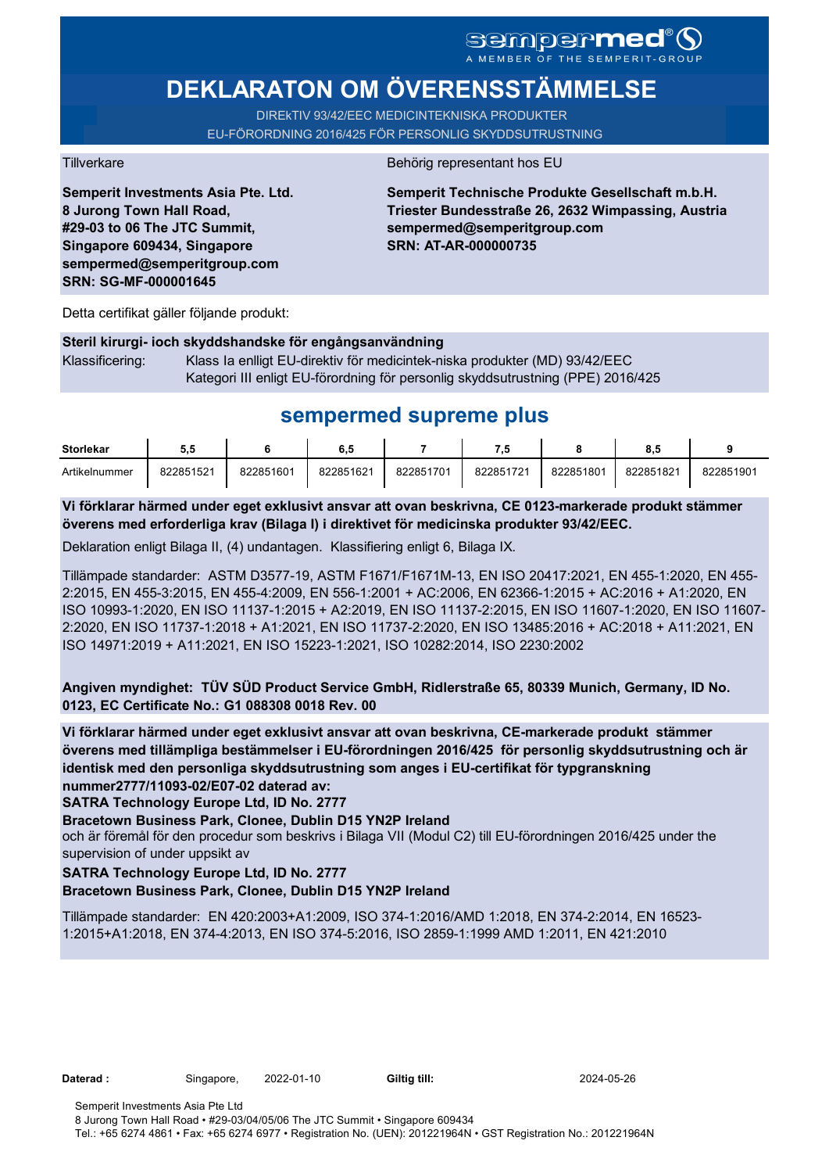# **DEKLARATON OM ÖVERENSSTÄMMELSE**

DIREkTIV 93/42/EEC MEDICINTEKNISKA PRODUKTER EU-FÖRORDNING 2016/425 FÖR PERSONLIG SKYDDSUTRUSTNING

**Semperit Investments Asia Pte. Ltd. 8 Jurong Town Hall Road, #29-03 to 06 The JTC Summit, Singapore 609434, Singapore sempermed@semperitgroup.com SRN: SG-MF-000001645**

### Tillverkare Behörig representant hos EU

**Semperit Technische Produkte Gesellschaft m.b.H. Triester Bundesstraße 26, 2632 Wimpassing, Austria sempermed@semperitgroup.com SRN: AT-AR-000000735**

Detta certifikat gäller följande produkt:

# **Steril kirurgi- ioch skyddshandske för engångsanvändning**  Klassificering: Klass Ia enlligt EU-direktiv för medicintek-niska produkter (MD) 93/42/EEC Kategori III enligt EU-förordning för personlig skyddsutrustning (PPE) 2016/425

# **sempermed supreme plus**

| <b>Storlekar</b> | ວ.ວ       |           | 6,5       |           | - 14      |           | о. с      |           |
|------------------|-----------|-----------|-----------|-----------|-----------|-----------|-----------|-----------|
| Artikelnummer    | 822851521 | 822851601 | 822851621 | 822851701 | 822851721 | 822851801 | 822851821 | 822851901 |

**Vi förklarar härmed under eget exklusivt ansvar att ovan beskrivna, CE 0123-markerade produkt stämmer överens med erforderliga krav (Bilaga I) i direktivet för medicinska produkter 93/42/EEC.**

Deklaration enligt Bilaga II, (4) undantagen. Klassifiering enligt 6, Bilaga IX.

Tillämpade standarder: ASTM D3577-19, ASTM F1671/F1671M-13, EN ISO 20417:2021, EN 455-1:2020, EN 455- 2:2015, EN 455-3:2015, EN 455-4:2009, EN 556-1:2001 + AC:2006, EN 62366-1:2015 + AC:2016 + A1:2020, EN ISO 10993-1:2020, EN ISO 11137-1:2015 + A2:2019, EN ISO 11137-2:2015, EN ISO 11607-1:2020, EN ISO 11607- 2:2020, EN ISO 11737-1:2018 + A1:2021, EN ISO 11737-2:2020, EN ISO 13485:2016 + AC:2018 + A11:2021, EN ISO 14971:2019 + A11:2021, EN ISO 15223-1:2021, ISO 10282:2014, ISO 2230:2002

**Angiven myndighet: TÜV SÜD Product Service GmbH, Ridlerstraße 65, 80339 Munich, Germany, ID No. 0123, EC Certificate No.: G1 088308 0018 Rev. 00** 

**Vi förklarar härmed under eget exklusivt ansvar att ovan beskrivna, CE-markerade produkt stämmer överens med tillämpliga bestämmelser i EU-förordningen 2016/425 för personlig skyddsutrustning och är identisk med den personliga skyddsutrustning som anges i EU-certifikat för typgranskning nummer2777/11093-02/E07-02 daterad av:**

**SATRA Technology Europe Ltd, ID No. 2777**

**Bracetown Business Park, Clonee, Dublin D15 YN2P Ireland**

och är föremål för den procedur som beskrivs i Bilaga VII (Modul C2) till EU-förordningen 2016/425 under the supervision of under uppsikt av

## **SATRA Technology Europe Ltd, ID No. 2777**

## **Bracetown Business Park, Clonee, Dublin D15 YN2P Ireland**

Tillämpade standarder: EN 420:2003+A1:2009, ISO 374-1:2016/AMD 1:2018, EN 374-2:2014, EN 16523- 1:2015+A1:2018, EN 374-4:2013, EN ISO 374-5:2016, ISO 2859-1:1999 AMD 1:2011, EN 421:2010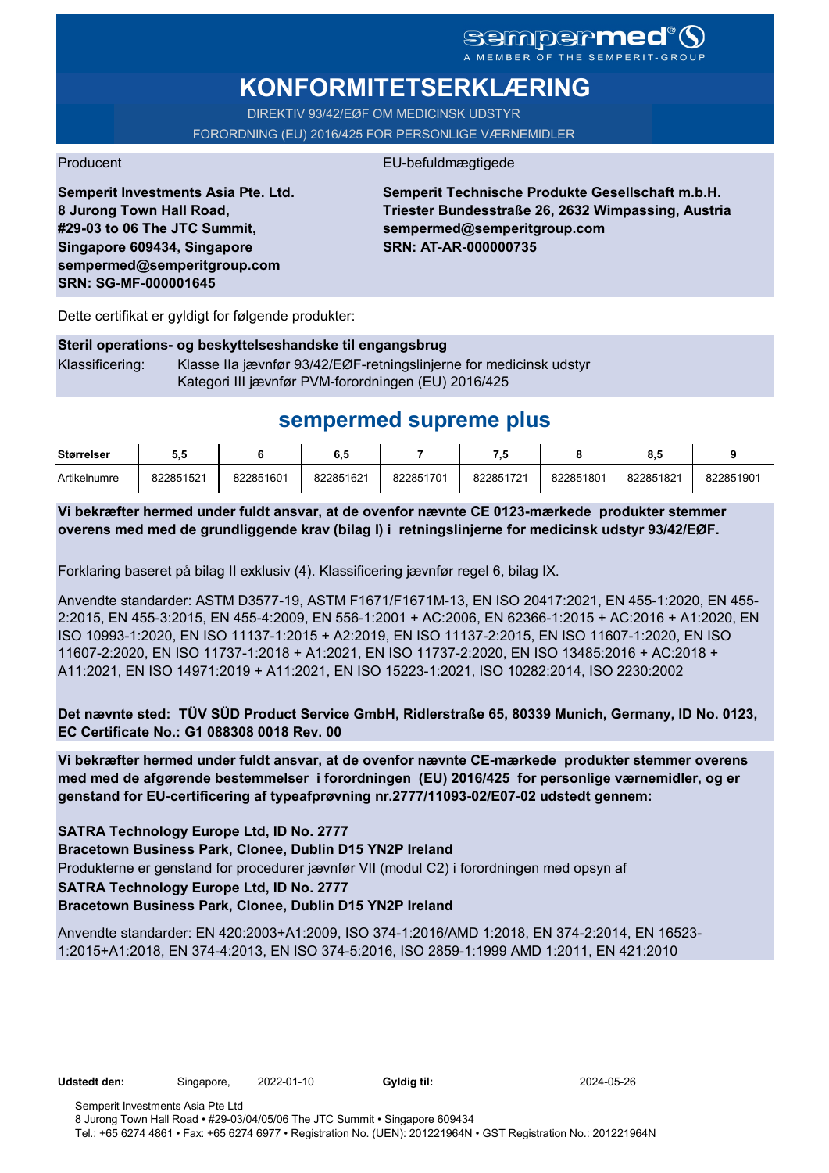# **KONFORMITETSERKLÆRING**

DIREKTIV 93/42/EØF OM MEDICINSK UDSTYR FORORDNING (EU) 2016/425 FOR PERSONLIGE VÆRNEMIDLER

# Producent EU-befuldmægtigede

**Semperit Investments Asia Pte. Ltd. 8 Jurong Town Hall Road, #29-03 to 06 The JTC Summit, Singapore 609434, Singapore sempermed@semperitgroup.com SRN: SG-MF-000001645**

**Semperit Technische Produkte Gesellschaft m.b.H. Triester Bundesstraße 26, 2632 Wimpassing, Austria sempermed@semperitgroup.com SRN: AT-AR-000000735**

Dette certifikat er gyldigt for følgende produkter:

## **Steril operations- og beskyttelseshandske til engangsbrug** Klassificering: Klasse IIa jævnfør 93/42/EØF-retningslinjerne for medicinsk udstyr Kategori III jævnfør PVM-forordningen (EU) 2016/425

# **sempermed supreme plus**

| <b>Størrelser</b> | ວ.ວ       |           | ხ. ე      |           |           |           | о         |           |
|-------------------|-----------|-----------|-----------|-----------|-----------|-----------|-----------|-----------|
| Artikelnumre      | 822851521 | 822851601 | 822851621 | 822851701 | 822851721 | 822851801 | 822851821 | 822851901 |

**Vi bekræfter hermed under fuldt ansvar, at de ovenfor nævnte CE 0123-mærkede produkter stemmer overens med med de grundliggende krav (bilag I) i retningslinjerne for medicinsk udstyr 93/42/EØF.**

Forklaring baseret på bilag II exklusiv (4). Klassificering jævnfør regel 6, bilag IX.

Anvendte standarder: ASTM D3577-19, ASTM F1671/F1671M-13, EN ISO 20417:2021, EN 455-1:2020, EN 455- 2:2015, EN 455-3:2015, EN 455-4:2009, EN 556-1:2001 + AC:2006, EN 62366-1:2015 + AC:2016 + A1:2020, EN ISO 10993-1:2020, EN ISO 11137-1:2015 + A2:2019, EN ISO 11137-2:2015, EN ISO 11607-1:2020, EN ISO 11607-2:2020, EN ISO 11737-1:2018 + A1:2021, EN ISO 11737-2:2020, EN ISO 13485:2016 + AC:2018 + A11:2021, EN ISO 14971:2019 + A11:2021, EN ISO 15223-1:2021, ISO 10282:2014, ISO 2230:2002

**Det nævnte sted: TÜV SÜD Product Service GmbH, Ridlerstraße 65, 80339 Munich, Germany, ID No. 0123, EC Certificate No.: G1 088308 0018 Rev. 00** 

**Vi bekræfter hermed under fuldt ansvar, at de ovenfor nævnte CE-mærkede produkter stemmer overens med med de afgørende bestemmelser i forordningen (EU) 2016/425 for personlige værnemidler, og er genstand for EU-certificering af typeafprøvning nr.2777/11093-02/E07-02 udstedt gennem:**

## **SATRA Technology Europe Ltd, ID No. 2777**

**Bracetown Business Park, Clonee, Dublin D15 YN2P Ireland**

Produkterne er genstand for procedurer jævnfør VII (modul C2) i forordningen med opsyn af

## **SATRA Technology Europe Ltd, ID No. 2777**

**Bracetown Business Park, Clonee, Dublin D15 YN2P Ireland**

Anvendte standarder: EN 420:2003+A1:2009, ISO 374-1:2016/AMD 1:2018, EN 374-2:2014, EN 16523- 1:2015+A1:2018, EN 374-4:2013, EN ISO 374-5:2016, ISO 2859-1:1999 AMD 1:2011, EN 421:2010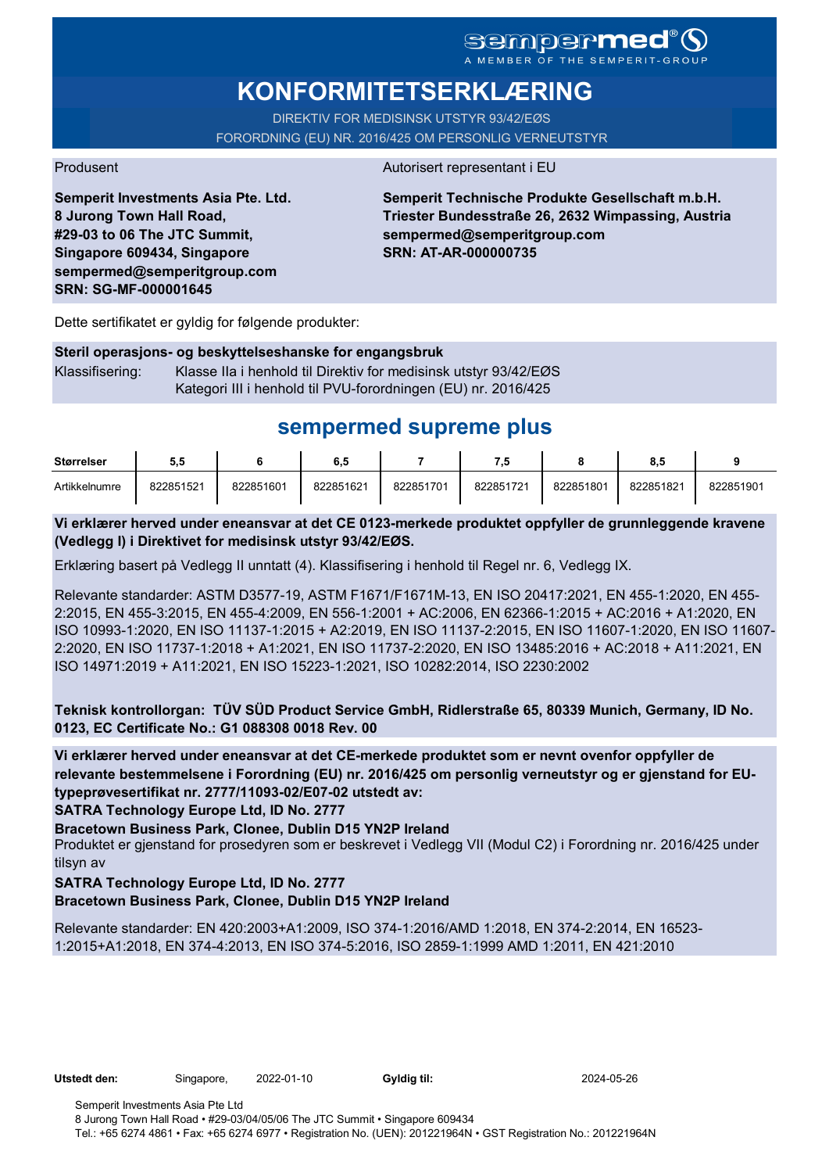# **KONFORMITETSERKLÆRING**

DIREKTIV FOR MEDISINSK UTSTYR 93/42/EØS FORORDNING (EU) NR. 2016/425 OM PERSONLIG VERNEUTSTYR

#### Produsent Autorisert representant i EU

**Semperit Investments Asia Pte. Ltd. 8 Jurong Town Hall Road, #29-03 to 06 The JTC Summit, Singapore 609434, Singapore sempermed@semperitgroup.com SRN: SG-MF-000001645**

**Semperit Technische Produkte Gesellschaft m.b.H. Triester Bundesstraße 26, 2632 Wimpassing, Austria sempermed@semperitgroup.com SRN: AT-AR-000000735**

Dette sertifikatet er gyldig for følgende produkter:

#### **Steril operasjons- og beskyttelseshanske for engangsbruk**

Klassifisering: Klasse IIa i henhold til Direktiv for medisinsk utstyr 93/42/EØS Kategori III i henhold til PVU-forordningen (EU) nr. 2016/425

# **sempermed supreme plus**

| <b>Størrelser</b> | ວ.ວ       |           | 6,5       |           | - 7       |           | o.c       |           |
|-------------------|-----------|-----------|-----------|-----------|-----------|-----------|-----------|-----------|
| Artikkelnumre     | 822851521 | 822851601 | 822851621 | 822851701 | 822851721 | 822851801 | 822851821 | 822851901 |

## **Vi erklærer herved under eneansvar at det CE 0123-merkede produktet oppfyller de grunnleggende kravene (Vedlegg I) i Direktivet for medisinsk utstyr 93/42/EØS.**

Erklæring basert på Vedlegg II unntatt (4). Klassifisering i henhold til Regel nr. 6, Vedlegg IX.

Relevante standarder: ASTM D3577-19, ASTM F1671/F1671M-13, EN ISO 20417:2021, EN 455-1:2020, EN 455- 2:2015, EN 455-3:2015, EN 455-4:2009, EN 556-1:2001 + AC:2006, EN 62366-1:2015 + AC:2016 + A1:2020, EN ISO 10993-1:2020, EN ISO 11137-1:2015 + A2:2019, EN ISO 11137-2:2015, EN ISO 11607-1:2020, EN ISO 11607- 2:2020, EN ISO 11737-1:2018 + A1:2021, EN ISO 11737-2:2020, EN ISO 13485:2016 + AC:2018 + A11:2021, EN ISO 14971:2019 + A11:2021, EN ISO 15223-1:2021, ISO 10282:2014, ISO 2230:2002

**Teknisk kontrollorgan: TÜV SÜD Product Service GmbH, Ridlerstraße 65, 80339 Munich, Germany, ID No. 0123, EC Certificate No.: G1 088308 0018 Rev. 00** 

**Vi erklærer herved under eneansvar at det CE-merkede produktet som er nevnt ovenfor oppfyller de relevante bestemmelsene i Forordning (EU) nr. 2016/425 om personlig verneutstyr og er gjenstand for EUtypeprøvesertifikat nr. 2777/11093-02/E07-02 utstedt av:**

**SATRA Technology Europe Ltd, ID No. 2777**

**Bracetown Business Park, Clonee, Dublin D15 YN2P Ireland**

Produktet er gjenstand for prosedyren som er beskrevet i Vedlegg VII (Modul C2) i Forordning nr. 2016/425 under tilsyn av

## **SATRA Technology Europe Ltd, ID No. 2777**

**Bracetown Business Park, Clonee, Dublin D15 YN2P Ireland**

Relevante standarder: EN 420:2003+A1:2009, ISO 374-1:2016/AMD 1:2018, EN 374-2:2014, EN 16523- 1:2015+A1:2018, EN 374-4:2013, EN ISO 374-5:2016, ISO 2859-1:1999 AMD 1:2011, EN 421:2010

| Utstedt den: | Singapore, | 2022-01-10 | Gyldig til: | 2024-05-26 |
|--------------|------------|------------|-------------|------------|
|              |            |            |             |            |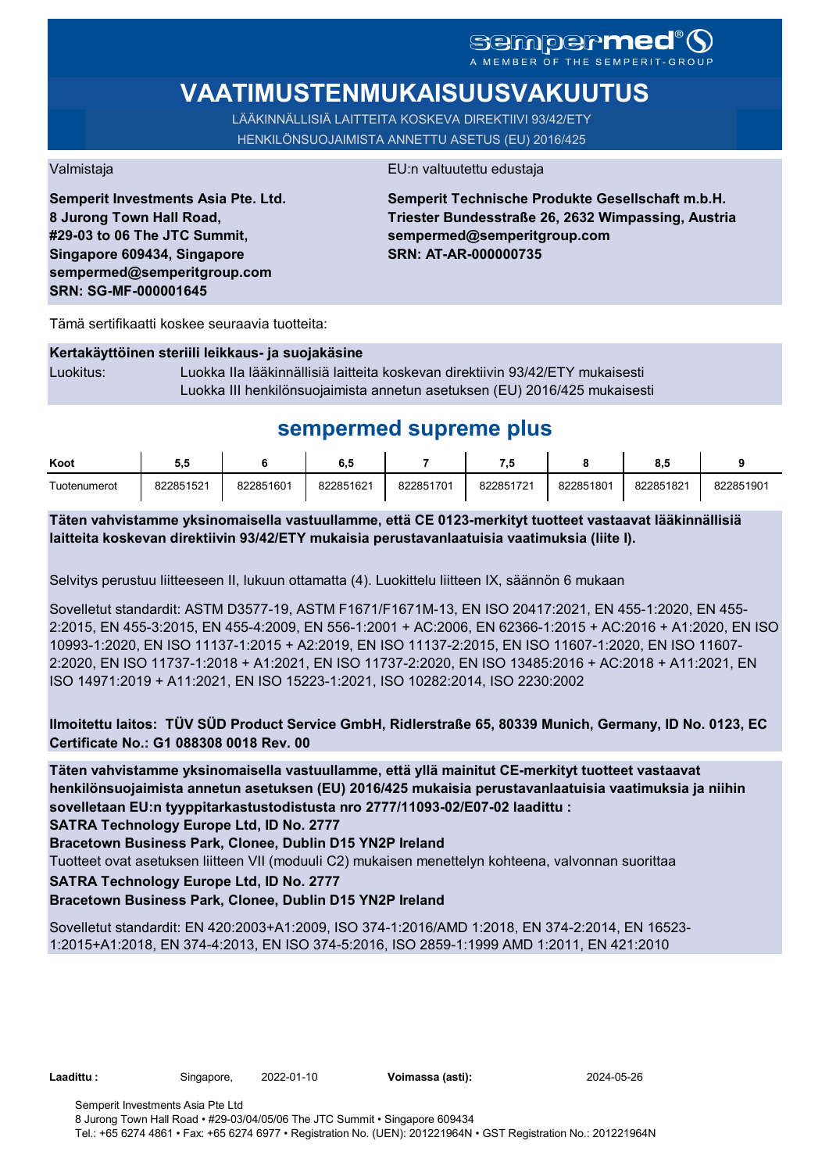# SCMDOCPMCO

# **VAATIMUSTENMUKAISUUSVAKUUTUS**

LÄÄKINNÄLLISIÄ LAITTEITA KOSKEVA DIREKTIIVI 93/42/ETY HENKILÖNSUOJAIMISTA ANNETTU ASETUS (EU) 2016/425

**Semperit Investments Asia Pte. Ltd. 8 Jurong Town Hall Road, #29-03 to 06 The JTC Summit, Singapore 609434, Singapore sempermed@semperitgroup.com SRN: SG-MF-000001645**

### Valmistaja EU:n valtuutettu edustaja

**Semperit Technische Produkte Gesellschaft m.b.H. Triester Bundesstraße 26, 2632 Wimpassing, Austria sempermed@semperitgroup.com SRN: AT-AR-000000735**

Tämä sertifikaatti koskee seuraavia tuotteita:

#### **Kertakäyttöinen steriili leikkaus- ja suojakäsine**

Luokitus: Luokka IIa lääkinnällisiä laitteita koskevan direktiivin 93/42/ETY mukaisesti Luokka III henkilönsuojaimista annetun asetuksen (EU) 2016/425 mukaisesti

# **sempermed supreme plus**

| Koot         | J.v       |           | 0.c       |           | .,        |           | υ.υ       |           |
|--------------|-----------|-----------|-----------|-----------|-----------|-----------|-----------|-----------|
| Tuotenumerot | 822851521 | 822851601 | 822851621 | 822851701 | 822851721 | 822851801 | 822851821 | 822851901 |

**Täten vahvistamme yksinomaisella vastuullamme, että CE 0123-merkityt tuotteet vastaavat lääkinnällisiä laitteita koskevan direktiivin 93/42/ETY mukaisia perustavanlaatuisia vaatimuksia (liite I).**

Selvitys perustuu liitteeseen II, lukuun ottamatta (4). Luokittelu liitteen IX, säännön 6 mukaan

Sovelletut standardit: ASTM D3577-19, ASTM F1671/F1671M-13, EN ISO 20417:2021, EN 455-1:2020, EN 455- 2:2015, EN 455-3:2015, EN 455-4:2009, EN 556-1:2001 + AC:2006, EN 62366-1:2015 + AC:2016 + A1:2020, EN ISO 10993-1:2020, EN ISO 11137-1:2015 + A2:2019, EN ISO 11137-2:2015, EN ISO 11607-1:2020, EN ISO 11607- 2:2020, EN ISO 11737-1:2018 + A1:2021, EN ISO 11737-2:2020, EN ISO 13485:2016 + AC:2018 + A11:2021, EN ISO 14971:2019 + A11:2021, EN ISO 15223-1:2021, ISO 10282:2014, ISO 2230:2002

## **Ilmoitettu laitos: TÜV SÜD Product Service GmbH, Ridlerstraße 65, 80339 Munich, Germany, ID No. 0123, EC Certificate No.: G1 088308 0018 Rev. 00**

**Täten vahvistamme yksinomaisella vastuullamme, että yllä mainitut CE-merkityt tuotteet vastaavat henkilönsuojaimista annetun asetuksen (EU) 2016/425 mukaisia perustavanlaatuisia vaatimuksia ja niihin sovelletaan EU:n tyyppitarkastustodistusta nro 2777/11093-02/E07-02 laadittu :**

**SATRA Technology Europe Ltd, ID No. 2777**

**Bracetown Business Park, Clonee, Dublin D15 YN2P Ireland**

Tuotteet ovat asetuksen liitteen VII (moduuli C2) mukaisen menettelyn kohteena, valvonnan suorittaa

**SATRA Technology Europe Ltd, ID No. 2777**

## **Bracetown Business Park, Clonee, Dublin D15 YN2P Ireland**

Sovelletut standardit: EN 420:2003+A1:2009, ISO 374-1:2016/AMD 1:2018, EN 374-2:2014, EN 16523- 1:2015+A1:2018, EN 374-4:2013, EN ISO 374-5:2016, ISO 2859-1:1999 AMD 1:2011, EN 421:2010

**Laadittu :** Singapore, 2022-01-10 **Voimassa (asti):** 2024-05-26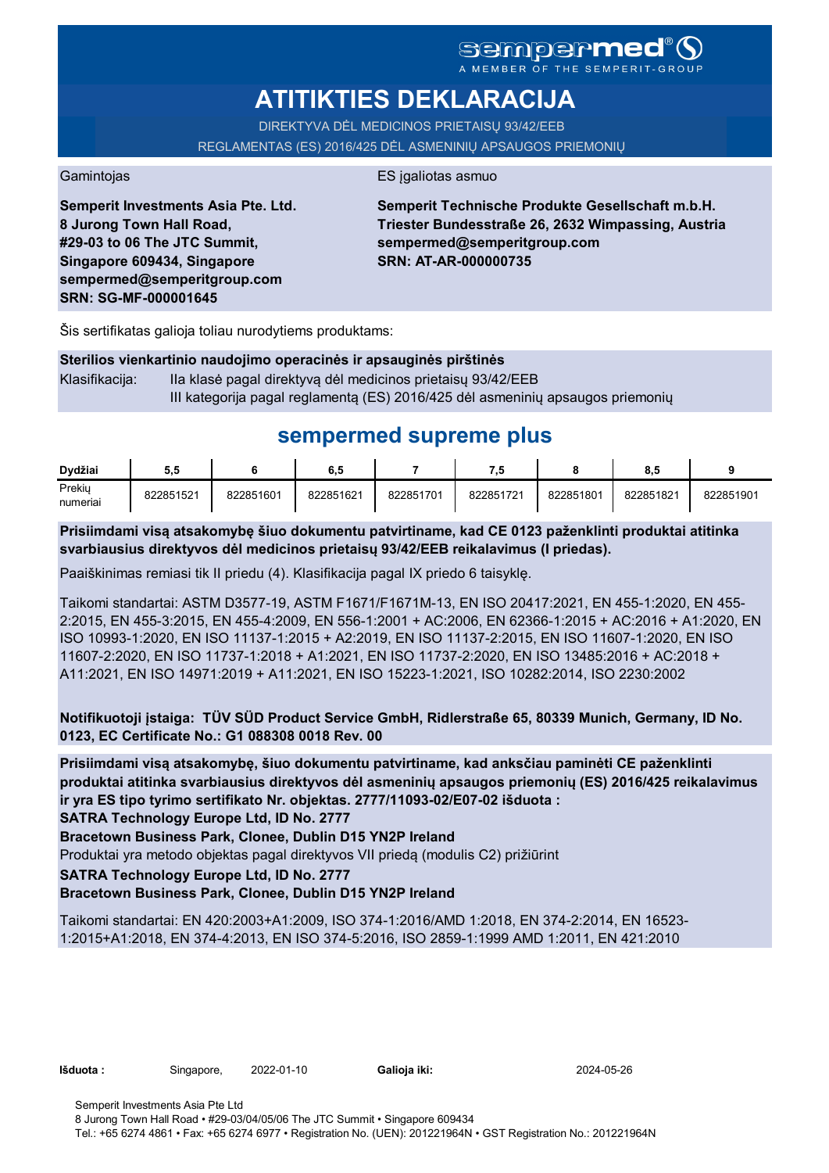# **ATITIKTIES DEKLARACIJA**

DIREKTYVA DĖL MEDICINOS PRIETAISŲ 93/42/EEB REGLAMENTAS (ES) 2016/425 DĖL ASMENINIŲ APSAUGOS PRIEMONIŲ

Gamintojas **ES** įgaliotas asmuo

**Semperit Investments Asia Pte. Ltd. 8 Jurong Town Hall Road, #29-03 to 06 The JTC Summit, Singapore 609434, Singapore sempermed@semperitgroup.com SRN: SG-MF-000001645**

**Semperit Technische Produkte Gesellschaft m.b.H. Triester Bundesstraße 26, 2632 Wimpassing, Austria sempermed@semperitgroup.com SRN: AT-AR-000000735**

Šis sertifikatas galioja toliau nurodytiems produktams:

| Sterilios vienkartinio naudojimo operacinės ir apsauginės pirštinės |                                                                                |  |  |  |  |  |  |
|---------------------------------------------------------------------|--------------------------------------------------------------------------------|--|--|--|--|--|--|
| Klasifikacija:                                                      | Ila klasė pagal direktyvą dėl medicinos prietaisų 93/42/EEB                    |  |  |  |  |  |  |
|                                                                     | III kategorija pagal reglamentą (ES) 2016/425 dėl asmeninių apsaugos priemonių |  |  |  |  |  |  |

# **sempermed supreme plus**

| Dvdžiai            | 5.5       |           | 6.5       |           | 7.5       |           | o<br>o.a  |           |
|--------------------|-----------|-----------|-----------|-----------|-----------|-----------|-----------|-----------|
| Prekiy<br>numeriai | 822851521 | 822851601 | 822851621 | 822851701 | 822851721 | 822851801 | 822851821 | 822851901 |

**Prisiimdami visą atsakomybę šiuo dokumentu patvirtiname, kad CE 0123 paženklinti produktai atitinka svarbiausius direktyvos dėl medicinos prietaisų 93/42/EEB reikalavimus (I priedas).**

Paaiškinimas remiasi tik II priedu (4). Klasifikacija pagal IX priedo 6 taisyklę.

Taikomi standartai: ASTM D3577-19, ASTM F1671/F1671M-13, EN ISO 20417:2021, EN 455-1:2020, EN 455- 2:2015, EN 455-3:2015, EN 455-4:2009, EN 556-1:2001 + AC:2006, EN 62366-1:2015 + AC:2016 + A1:2020, EN ISO 10993-1:2020, EN ISO 11137-1:2015 + A2:2019, EN ISO 11137-2:2015, EN ISO 11607-1:2020, EN ISO 11607-2:2020, EN ISO 11737-1:2018 + A1:2021, EN ISO 11737-2:2020, EN ISO 13485:2016 + AC:2018 + A11:2021, EN ISO 14971:2019 + A11:2021, EN ISO 15223-1:2021, ISO 10282:2014, ISO 2230:2002

**Notifikuotoji įstaiga: TÜV SÜD Product Service GmbH, Ridlerstraße 65, 80339 Munich, Germany, ID No. 0123, EC Certificate No.: G1 088308 0018 Rev. 00** 

**Prisiimdami visą atsakomybę, šiuo dokumentu patvirtiname, kad anksčiau paminėti CE paženklinti produktai atitinka svarbiausius direktyvos dėl asmeninių apsaugos priemonių (ES) 2016/425 reikalavimus ir yra ES tipo tyrimo sertifikato Nr. objektas. 2777/11093-02/E07-02 išduota :**

**SATRA Technology Europe Ltd, ID No. 2777**

**Bracetown Business Park, Clonee, Dublin D15 YN2P Ireland**

Produktai yra metodo objektas pagal direktyvos VII priedą (modulis C2) prižiūrint

**SATRA Technology Europe Ltd, ID No. 2777**

## **Bracetown Business Park, Clonee, Dublin D15 YN2P Ireland**

Taikomi standartai: EN 420:2003+A1:2009, ISO 374-1:2016/AMD 1:2018, EN 374-2:2014, EN 16523- 1:2015+A1:2018, EN 374-4:2013, EN ISO 374-5:2016, ISO 2859-1:1999 AMD 1:2011, EN 421:2010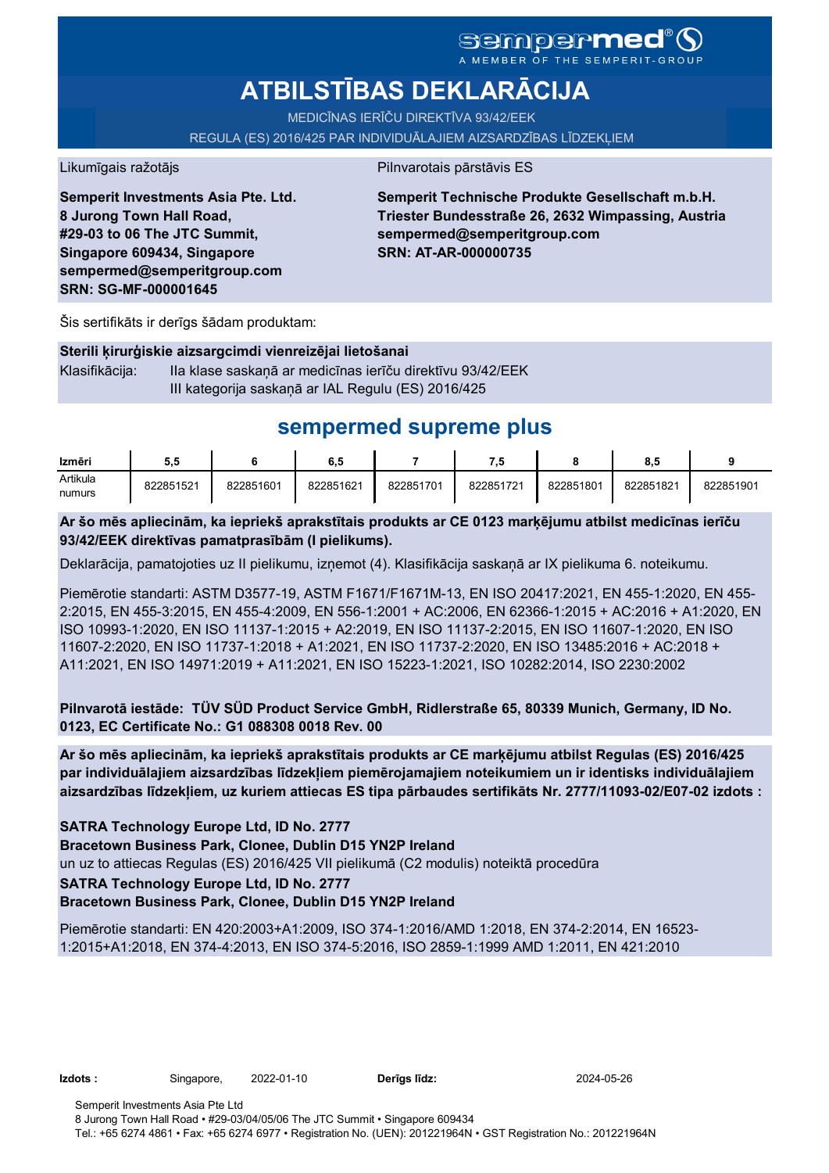# **ATBILSTĪBAS DEKLARĀCIJA**

MEDICĪNAS IERĪČU DIREKTĪVA 93/42/EEK

REGULA (ES) 2016/425 PAR INDIVIDUĀLAJIEM AIZSARDZĪBAS LĪDZEKĻIEM

Likumīgais ražotājs **Pilnvarotais pārstāvis ES** 

**Semperit Investments Asia Pte. Ltd. 8 Jurong Town Hall Road, #29-03 to 06 The JTC Summit, Singapore 609434, Singapore sempermed@semperitgroup.com SRN: SG-MF-000001645**

**Semperit Technische Produkte Gesellschaft m.b.H. Triester Bundesstraße 26, 2632 Wimpassing, Austria sempermed@semperitgroup.com SRN: AT-AR-000000735**

Šis sertifikāts ir derīgs šādam produktam:

## **Sterili ķirurģiskie aizsargcimdi vienreizējai lietošanai**

Klasifikācija: IIa klase saskaņā ar medicīnas ierīču direktīvu 93/42/EEK III kategorija saskaņā ar IAL Regulu (ES) 2016/425

# **sempermed supreme plus**

| Izmēri   | 5.5       |           | ο. c      |           | 7.5       |           | $\bullet$<br>o.a |           |
|----------|-----------|-----------|-----------|-----------|-----------|-----------|------------------|-----------|
| Artikula | 822851521 | 822851601 | 822851621 | 822851701 | 822851721 | 822851801 | 822851821        | 822851901 |
| numurs   |           |           |           |           |           |           |                  |           |

**Ar šo mēs apliecinām, ka iepriekš aprakstītais produkts ar CE 0123 marķējumu atbilst medicīnas ierīču 93/42/EEK direktīvas pamatprasībām (I pielikums).**

Deklarācija, pamatojoties uz II pielikumu, izņemot (4). Klasifikācija saskaņā ar IX pielikuma 6. noteikumu.

Piemērotie standarti: ASTM D3577-19, ASTM F1671/F1671M-13, EN ISO 20417:2021, EN 455-1:2020, EN 455- 2:2015, EN 455-3:2015, EN 455-4:2009, EN 556-1:2001 + AC:2006, EN 62366-1:2015 + AC:2016 + A1:2020, EN ISO 10993-1:2020, EN ISO 11137-1:2015 + A2:2019, EN ISO 11137-2:2015, EN ISO 11607-1:2020, EN ISO 11607-2:2020, EN ISO 11737-1:2018 + A1:2021, EN ISO 11737-2:2020, EN ISO 13485:2016 + AC:2018 + A11:2021, EN ISO 14971:2019 + A11:2021, EN ISO 15223-1:2021, ISO 10282:2014, ISO 2230:2002

**Pilnvarotā iestāde: TÜV SÜD Product Service GmbH, Ridlerstraße 65, 80339 Munich, Germany, ID No. 0123, EC Certificate No.: G1 088308 0018 Rev. 00** 

**Ar šo mēs apliecinām, ka iepriekš aprakstītais produkts ar CE marķējumu atbilst Regulas (ES) 2016/425 par individuālajiem aizsardzības līdzekļiem piemērojamajiem noteikumiem un ir identisks individuālajiem aizsardzības līdzekļiem, uz kuriem attiecas ES tipa pārbaudes sertifikāts Nr. 2777/11093-02/E07-02 izdots :**

**SATRA Technology Europe Ltd, ID No. 2777**

**Bracetown Business Park, Clonee, Dublin D15 YN2P Ireland**

un uz to attiecas Regulas (ES) 2016/425 VII pielikumā (C2 modulis) noteiktā procedūra

## **SATRA Technology Europe Ltd, ID No. 2777**

## **Bracetown Business Park, Clonee, Dublin D15 YN2P Ireland**

Piemērotie standarti: EN 420:2003+A1:2009, ISO 374-1:2016/AMD 1:2018, EN 374-2:2014, EN 16523- 1:2015+A1:2018, EN 374-4:2013, EN ISO 374-5:2016, ISO 2859-1:1999 AMD 1:2011, EN 421:2010

**Izdots :** Singapore, 2022-01-10 **Derīgs līdz:** 2024-05-26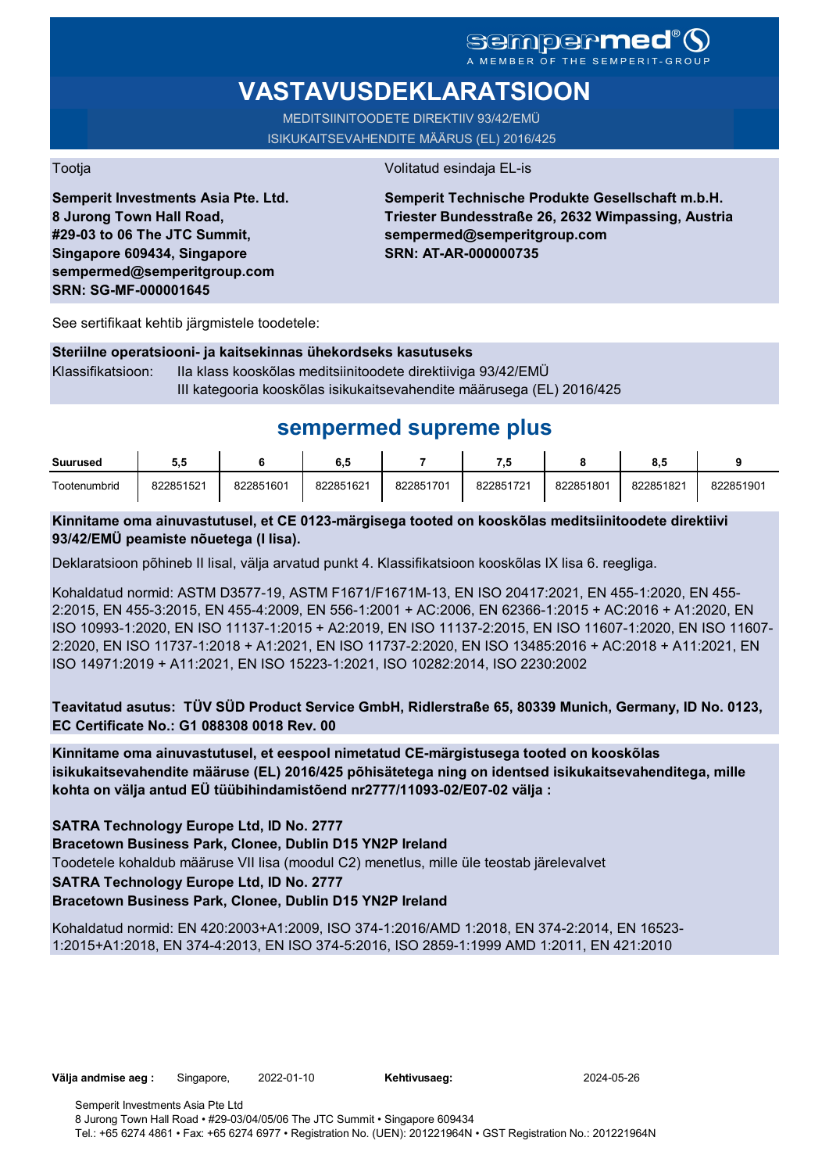# **VASTAVUSDEKLARATSIOON**

MEDITSIINITOODETE DIREKTIIV 93/42/EMÜ ISIKUKAITSEVAHENDITE MÄÄRUS (EL) 2016/425

Tootja Volitatud esindaja EL-is

**Semperit Investments Asia Pte. Ltd. 8 Jurong Town Hall Road, #29-03 to 06 The JTC Summit, Singapore 609434, Singapore sempermed@semperitgroup.com SRN: SG-MF-000001645**

## **Semperit Technische Produkte Gesellschaft m.b.H. Triester Bundesstraße 26, 2632 Wimpassing, Austria sempermed@semperitgroup.com SRN: AT-AR-000000735**

See sertifikaat kehtib järgmistele toodetele:

## **Steriilne operatsiooni- ja kaitsekinnas ühekordseks kasutuseks**

Klassifikatsioon: IIa klass kooskõlas meditsiinitoodete direktiiviga 93/42/EMÜ III kategooria kooskõlas isikukaitsevahendite määrusega (EL) 2016/425

# **sempermed supreme plus**

| <b>Suurused</b> | ວ.ຕ       |           | 6,5       |           | ه.        |           | o.c       |           |
|-----------------|-----------|-----------|-----------|-----------|-----------|-----------|-----------|-----------|
| Tootenumbrid    | 822851521 | 822851601 | 822851621 | 822851701 | 822851721 | 822851801 | 822851821 | 822851901 |

## **Kinnitame oma ainuvastutusel, et CE 0123-märgisega tooted on kooskõlas meditsiinitoodete direktiivi 93/42/EMÜ peamiste nõuetega (I lisa).**

Deklaratsioon põhineb II lisal, välja arvatud punkt 4. Klassifikatsioon kooskõlas IX lisa 6. reegliga.

Kohaldatud normid: ASTM D3577-19, ASTM F1671/F1671M-13, EN ISO 20417:2021, EN 455-1:2020, EN 455- 2:2015, EN 455-3:2015, EN 455-4:2009, EN 556-1:2001 + AC:2006, EN 62366-1:2015 + AC:2016 + A1:2020, EN ISO 10993-1:2020, EN ISO 11137-1:2015 + A2:2019, EN ISO 11137-2:2015, EN ISO 11607-1:2020, EN ISO 11607- 2:2020, EN ISO 11737-1:2018 + A1:2021, EN ISO 11737-2:2020, EN ISO 13485:2016 + AC:2018 + A11:2021, EN ISO 14971:2019 + A11:2021, EN ISO 15223-1:2021, ISO 10282:2014, ISO 2230:2002

**Teavitatud asutus: TÜV SÜD Product Service GmbH, Ridlerstraße 65, 80339 Munich, Germany, ID No. 0123, EC Certificate No.: G1 088308 0018 Rev. 00** 

**Kinnitame oma ainuvastutusel, et eespool nimetatud CE-märgistusega tooted on kooskõlas isikukaitsevahendite määruse (EL) 2016/425 põhisätetega ning on identsed isikukaitsevahenditega, mille kohta on välja antud EÜ tüübihindamistõend nr2777/11093-02/E07-02 välja :**

**SATRA Technology Europe Ltd, ID No. 2777**

**Bracetown Business Park, Clonee, Dublin D15 YN2P Ireland**

Toodetele kohaldub määruse VII lisa (moodul C2) menetlus, mille üle teostab järelevalvet

**SATRA Technology Europe Ltd, ID No. 2777**

## **Bracetown Business Park, Clonee, Dublin D15 YN2P Ireland**

Kohaldatud normid: EN 420:2003+A1:2009, ISO 374-1:2016/AMD 1:2018, EN 374-2:2014, EN 16523- 1:2015+A1:2018, EN 374-4:2013, EN ISO 374-5:2016, ISO 2859-1:1999 AMD 1:2011, EN 421:2010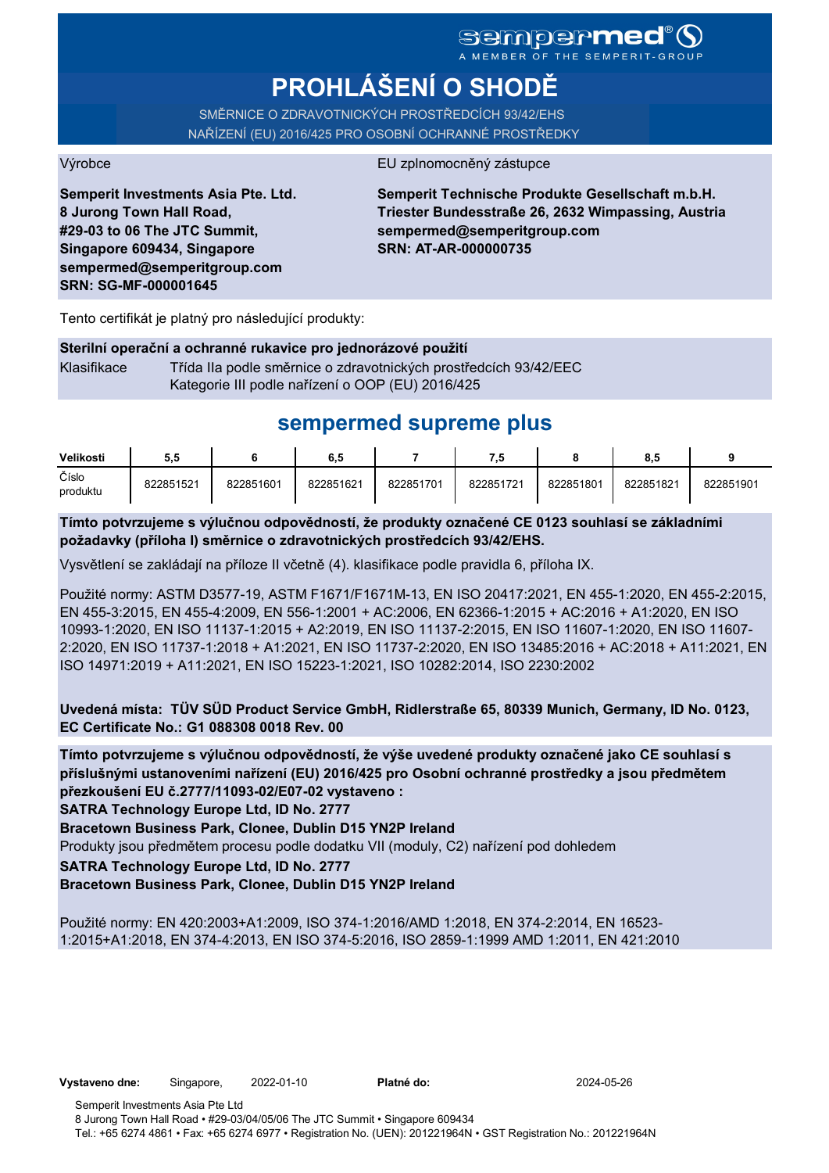# **PROHLÁŠENÍ O SHODĚ**

SMĚRNICE O ZDRAVOTNICKÝCH PROSTŘEDCÍCH 93/42/EHS NAŘÍZENÍ (EU) 2016/425 PRO OSOBNÍ OCHRANNÉ PROSTŘEDKY

#### Výrobce EU zplnomocněný zástupce

**Semperit Investments Asia Pte. Ltd. 8 Jurong Town Hall Road, #29-03 to 06 The JTC Summit, Singapore 609434, Singapore sempermed@semperitgroup.com SRN: SG-MF-000001645**

**Semperit Technische Produkte Gesellschaft m.b.H. Triester Bundesstraße 26, 2632 Wimpassing, Austria sempermed@semperitgroup.com SRN: AT-AR-000000735**

Tento certifikát je platný pro následující produkty:

## **Sterilní operační a ochranné rukavice pro jednorázové použití**

Klasifikace Třída IIa podle směrnice o zdravotnických prostředcích 93/42/EEC Kategorie III podle nařízení o OOP (EU) 2016/425

# **sempermed supreme plus**

| Velikosti         | 5.5       |           | 6.5       |           | 7.5       |           | 8.5       |           |
|-------------------|-----------|-----------|-----------|-----------|-----------|-----------|-----------|-----------|
| Číslo<br>produktu | 822851521 | 822851601 | 822851621 | 822851701 | 822851721 | 822851801 | 822851821 | 822851901 |

**Tímto potvrzujeme s výlučnou odpovědností, že produkty označené CE 0123 souhlasí se základními požadavky (příloha I) směrnice o zdravotnických prostředcích 93/42/EHS.**

Vysvětlení se zakládají na příloze II včetně (4). klasifikace podle pravidla 6, příloha IX.

Použité normy: ASTM D3577-19, ASTM F1671/F1671M-13, EN ISO 20417:2021, EN 455-1:2020, EN 455-2:2015, EN 455-3:2015, EN 455-4:2009, EN 556-1:2001 + AC:2006, EN 62366-1:2015 + AC:2016 + A1:2020, EN ISO 10993-1:2020, EN ISO 11137-1:2015 + A2:2019, EN ISO 11137-2:2015, EN ISO 11607-1:2020, EN ISO 11607- 2:2020, EN ISO 11737-1:2018 + A1:2021, EN ISO 11737-2:2020, EN ISO 13485:2016 + AC:2018 + A11:2021, EN ISO 14971:2019 + A11:2021, EN ISO 15223-1:2021, ISO 10282:2014, ISO 2230:2002

**Uvedená místa: TÜV SÜD Product Service GmbH, Ridlerstraße 65, 80339 Munich, Germany, ID No. 0123, EC Certificate No.: G1 088308 0018 Rev. 00** 

**Tímto potvrzujeme s výlučnou odpovědností, že výše uvedené produkty označené jako CE souhlasí s příslušnými ustanoveními nařízení (EU) 2016/425 pro Osobní ochranné prostředky a jsou předmětem přezkoušení EU č.2777/11093-02/E07-02 vystaveno :**

**SATRA Technology Europe Ltd, ID No. 2777**

**Bracetown Business Park, Clonee, Dublin D15 YN2P Ireland**

Produkty jsou předmětem procesu podle dodatku VII (moduly, C2) nařízení pod dohledem

**SATRA Technology Europe Ltd, ID No. 2777**

**Bracetown Business Park, Clonee, Dublin D15 YN2P Ireland**

Použité normy: EN 420:2003+A1:2009, ISO 374-1:2016/AMD 1:2018, EN 374-2:2014, EN 16523- 1:2015+A1:2018, EN 374-4:2013, EN ISO 374-5:2016, ISO 2859-1:1999 AMD 1:2011, EN 421:2010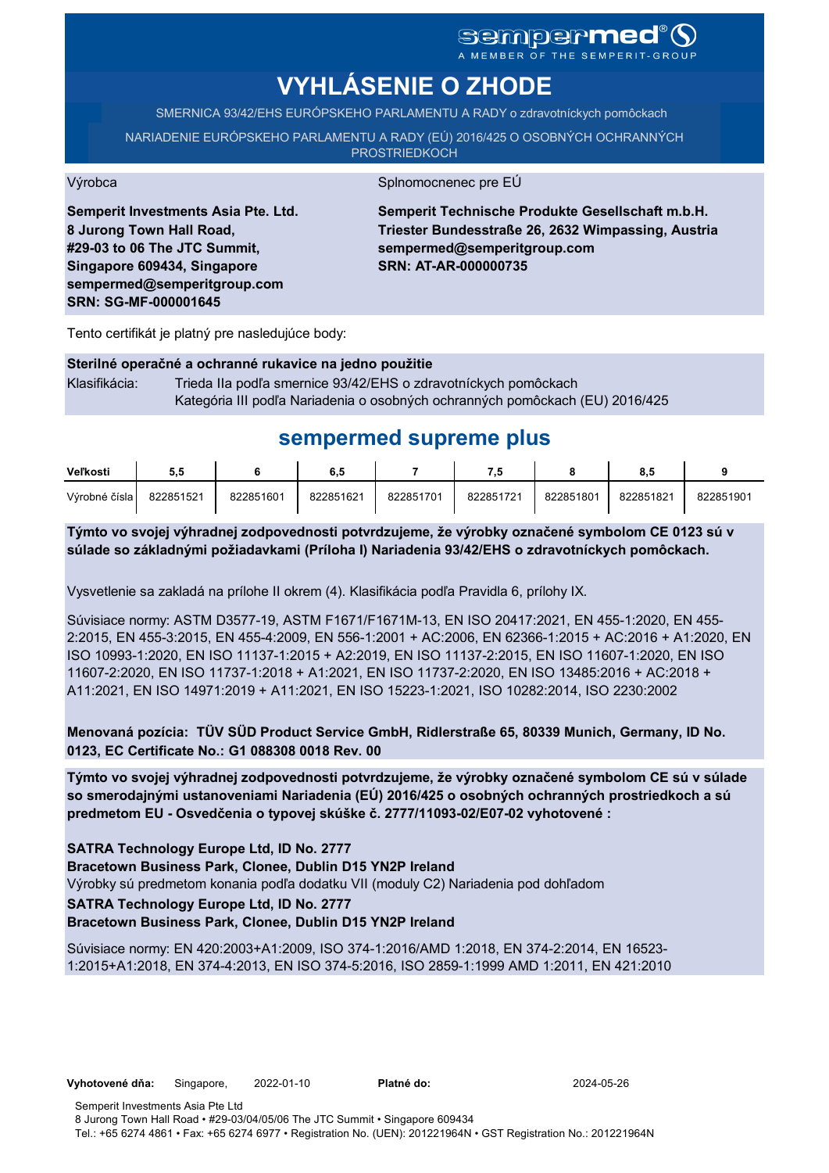# sempermed<sup>®</sup> Q

A MEMBER OF THE SEMPERIT-GROUP

# **VYHLÁSENIE O ZHODE**

SMERNICA 93/42/EHS EURÓPSKEHO PARLAMENTU A RADY o zdravotníckych pomôckach

NARIADENIE EURÓPSKEHO PARLAMENTU A RADY (EÚ) 2016/425 O OSOBNÝCH OCHRANNÝCH **PROSTRIEDKOCH** 

Výrobca Splnomocnenec pre EÚ

**Semperit Investments Asia Pte. Ltd. 8 Jurong Town Hall Road, #29-03 to 06 The JTC Summit, Singapore 609434, Singapore sempermed@semperitgroup.com SRN: SG-MF-000001645**

**Semperit Technische Produkte Gesellschaft m.b.H. Triester Bundesstraße 26, 2632 Wimpassing, Austria sempermed@semperitgroup.com SRN: AT-AR-000000735**

Tento certifikát je platný pre nasledujúce body:

#### **Sterilné operačné a ochranné rukavice na jedno použitie**

Klasifikácia: Trieda IIa podľa smernice 93/42/EHS o zdravotníckych pomôckach Kategória III podľa Nariadenia o osobných ochranných pomôckach (EU) 2016/425

# **sempermed supreme plus**

| Veľkosti      | ວ.ວ       |           | 6.5       |           | - 5       |           |           |           |
|---------------|-----------|-----------|-----------|-----------|-----------|-----------|-----------|-----------|
| Výrobné čísla | 822851521 | 822851601 | 822851621 | 822851701 | 822851721 | 822851801 | 822851821 | 822851901 |

**Týmto vo svojej výhradnej zodpovednosti potvrdzujeme, že výrobky označené symbolom CE 0123 sú v súlade so základnými požiadavkami (Príloha I) Nariadenia 93/42/EHS o zdravotníckych pomôckach.**

Vysvetlenie sa zakladá na prílohe II okrem (4). Klasifikácia podľa Pravidla 6, prílohy IX.

Súvisiace normy: ASTM D3577-19, ASTM F1671/F1671M-13, EN ISO 20417:2021, EN 455-1:2020, EN 455- 2:2015, EN 455-3:2015, EN 455-4:2009, EN 556-1:2001 + AC:2006, EN 62366-1:2015 + AC:2016 + A1:2020, EN ISO 10993-1:2020, EN ISO 11137-1:2015 + A2:2019, EN ISO 11137-2:2015, EN ISO 11607-1:2020, EN ISO 11607-2:2020, EN ISO 11737-1:2018 + A1:2021, EN ISO 11737-2:2020, EN ISO 13485:2016 + AC:2018 + A11:2021, EN ISO 14971:2019 + A11:2021, EN ISO 15223-1:2021, ISO 10282:2014, ISO 2230:2002

**Menovaná pozícia: TÜV SÜD Product Service GmbH, Ridlerstraße 65, 80339 Munich, Germany, ID No. 0123, EC Certificate No.: G1 088308 0018 Rev. 00** 

**Týmto vo svojej výhradnej zodpovednosti potvrdzujeme, že výrobky označené symbolom CE sú v súlade so smerodajnými ustanoveniami Nariadenia (EÚ) 2016/425 o osobných ochranných prostriedkoch a sú predmetom EU - Osvedčenia o typovej skúške č. 2777/11093-02/E07-02 vyhotovené :**

**SATRA Technology Europe Ltd, ID No. 2777**

**Bracetown Business Park, Clonee, Dublin D15 YN2P Ireland**

Výrobky sú predmetom konania podľa dodatku VII (moduly C2) Nariadenia pod dohľadom

**SATRA Technology Europe Ltd, ID No. 2777**

## **Bracetown Business Park, Clonee, Dublin D15 YN2P Ireland**

Súvisiace normy: EN 420:2003+A1:2009, ISO 374-1:2016/AMD 1:2018, EN 374-2:2014, EN 16523- 1:2015+A1:2018, EN 374-4:2013, EN ISO 374-5:2016, ISO 2859-1:1999 AMD 1:2011, EN 421:2010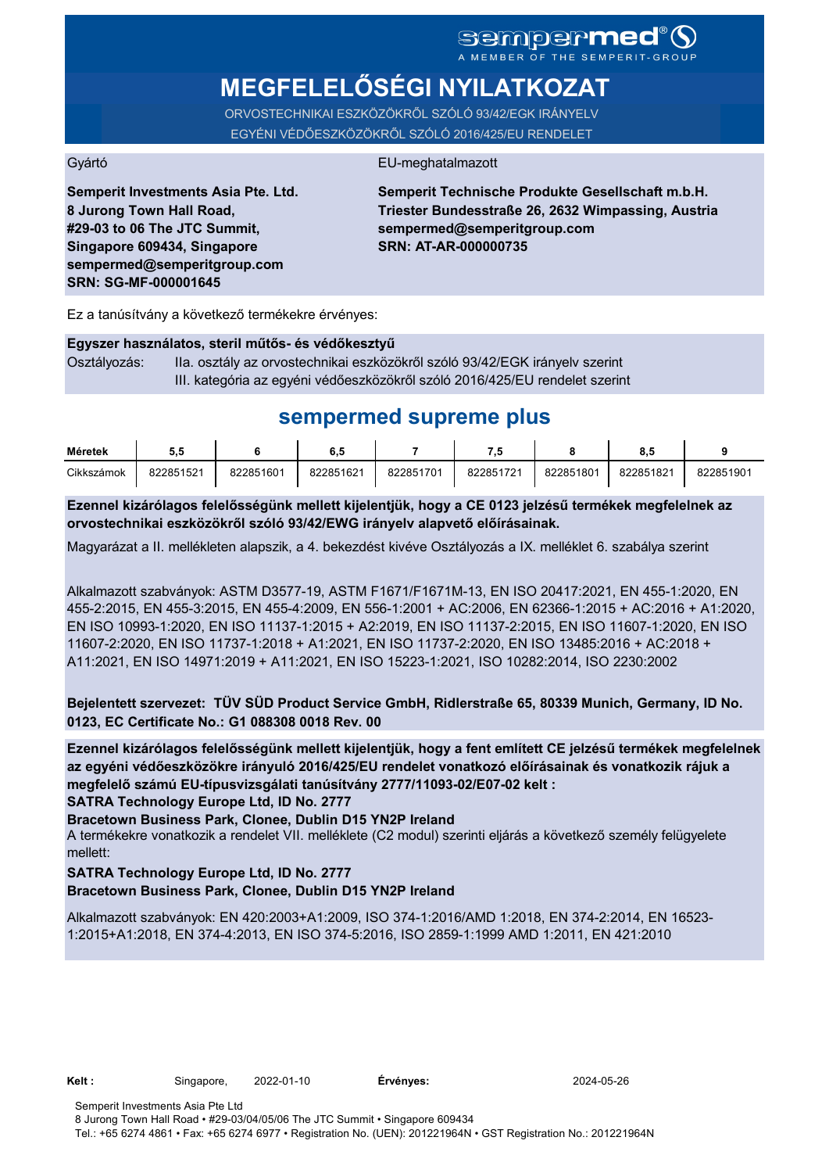# **MEGFELELŐSÉGI NYILATKOZAT**

ORVOSTECHNIKAI ESZKÖZÖKRŐL SZÓLÓ 93/42/EGK IRÁNYELV EGYÉNI VÉDŐESZKÖZÖKRŐL SZÓLÓ 2016/425/EU RENDELET

#### Gyártó EU-meghatalmazott

**Semperit Investments Asia Pte. Ltd. 8 Jurong Town Hall Road, #29-03 to 06 The JTC Summit, Singapore 609434, Singapore sempermed@semperitgroup.com SRN: SG-MF-000001645**

**Semperit Technische Produkte Gesellschaft m.b.H. Triester Bundesstraße 26, 2632 Wimpassing, Austria sempermed@semperitgroup.com SRN: AT-AR-000000735**

Ez a tanúsítvány a következő termékekre érvényes:

#### **Egyszer használatos, steril műtős- és védőkesztyű**

Osztályozás: IIa. osztály az orvostechnikai eszközökről szóló 93/42/EGK irányelv szerint III. kategória az egyéni védőeszközökről szóló 2016/425/EU rendelet szerint

# **sempermed supreme plus**

| Méretek    | v.v       |           | o         |           | - 7       |           |           |           |
|------------|-----------|-----------|-----------|-----------|-----------|-----------|-----------|-----------|
| Cikkszámok | 822851521 | 822851601 | 822851621 | 822851701 | 822851721 | 822851801 | 822851821 | 822851901 |

**Ezennel kizárólagos felelősségünk mellett kijelentjük, hogy a CE 0123 jelzésű termékek megfelelnek az orvostechnikai eszközökről szóló 93/42/EWG irányelv alapvető előírásainak.**

Magyarázat a II. mellékleten alapszik, a 4. bekezdést kivéve Osztályozás a IX. melléklet 6. szabálya szerint

Alkalmazott szabványok: ASTM D3577-19, ASTM F1671/F1671M-13, EN ISO 20417:2021, EN 455-1:2020, EN 455-2:2015, EN 455-3:2015, EN 455-4:2009, EN 556-1:2001 + AC:2006, EN 62366-1:2015 + AC:2016 + A1:2020, EN ISO 10993-1:2020, EN ISO 11137-1:2015 + A2:2019, EN ISO 11137-2:2015, EN ISO 11607-1:2020, EN ISO 11607-2:2020, EN ISO 11737-1:2018 + A1:2021, EN ISO 11737-2:2020, EN ISO 13485:2016 + AC:2018 + A11:2021, EN ISO 14971:2019 + A11:2021, EN ISO 15223-1:2021, ISO 10282:2014, ISO 2230:2002

**Bejelentett szervezet: TÜV SÜD Product Service GmbH, Ridlerstraße 65, 80339 Munich, Germany, ID No. 0123, EC Certificate No.: G1 088308 0018 Rev. 00** 

**SATRA Technology Europe Ltd, ID No. 2777 Ezennel kizárólagos felelősségünk mellett kijelentjük, hogy a fent említett CE jelzésű termékek megfelelnek az egyéni védőeszközökre irányuló 2016/425/EU rendelet vonatkozó előírásainak és vonatkozik rájuk a megfelelő számú EU-típusvizsgálati tanúsítvány 2777/11093-02/E07-02 kelt :**

**Bracetown Business Park, Clonee, Dublin D15 YN2P Ireland**

A termékekre vonatkozik a rendelet VII. melléklete (C2 modul) szerinti eljárás a következő személy felügyelete mellett:

## **SATRA Technology Europe Ltd, ID No. 2777**

## **Bracetown Business Park, Clonee, Dublin D15 YN2P Ireland**

Alkalmazott szabványok: EN 420:2003+A1:2009, ISO 374-1:2016/AMD 1:2018, EN 374-2:2014, EN 16523- 1:2015+A1:2018, EN 374-4:2013, EN ISO 374-5:2016, ISO 2859-1:1999 AMD 1:2011, EN 421:2010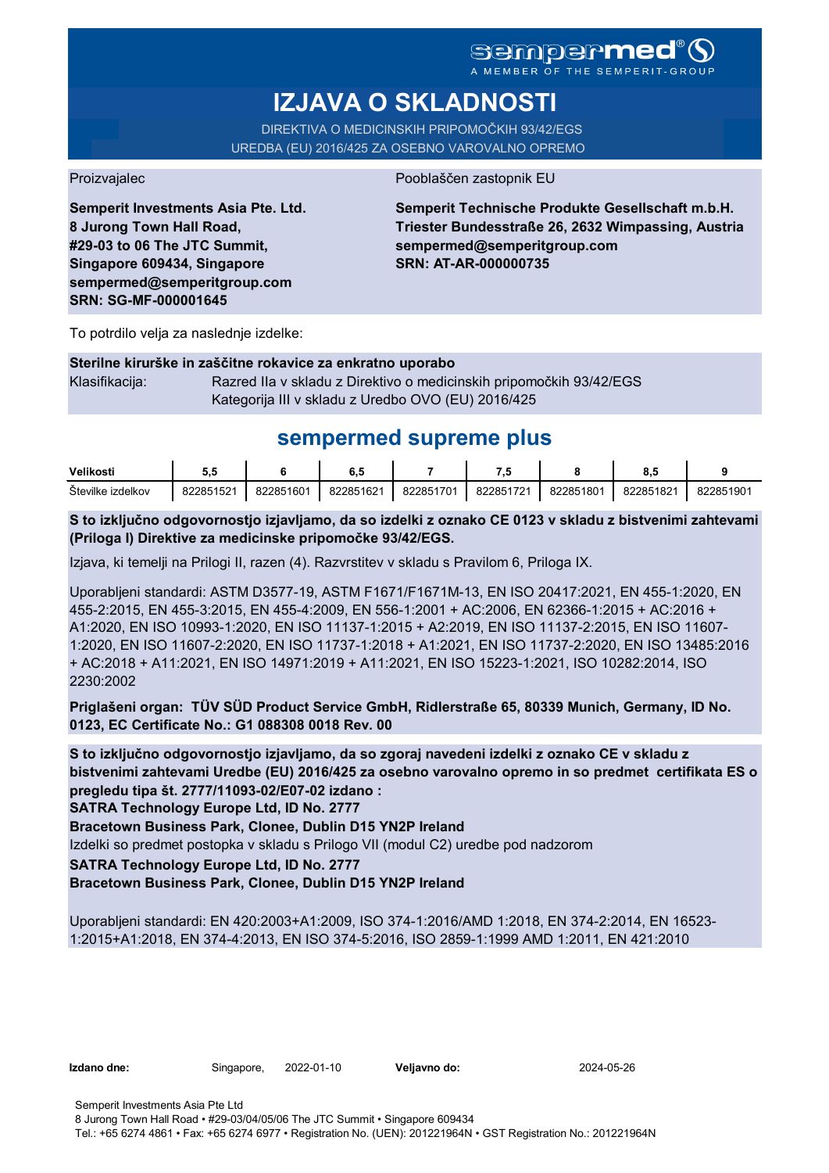A MEMBER OF THE SEMPERIT-GROUP

# **IZJAVA O SKLADNOSTI**

DIREKTIVA O MEDICINSKIH PRIPOMOČKIH 93/42/EGS UREDBA (EU) 2016/425 ZA OSEBNO VAROVALNO OPREMO

Proizvajalec Pooblaščen zastopnik EU

**Semperit Investments Asia Pte. Ltd. 8 Jurong Town Hall Road, #29-03 to 06 The JTC Summit, Singapore 609434, Singapore sempermed@semperitgroup.com SRN: SG-MF-000001645**

**Semperit Technische Produkte Gesellschaft m.b.H. Triester Bundesstraße 26, 2632 Wimpassing, Austria sempermed@semperitgroup.com SRN: AT-AR-000000735**

To potrdilo velja za naslednje izdelke:

## **Sterilne kirurške in zaščitne rokavice za enkratno uporabo**

Klasifikacija: Razred IIa v skladu z Direktivo o medicinskih pripomočkih 93/42/EGS Kategorija III v skladu z Uredbo OVO (EU) 2016/425

# **sempermed supreme plus**

| Velikosti         | u.        |           | υ.,       |           |           |           |           |           |
|-------------------|-----------|-----------|-----------|-----------|-----------|-----------|-----------|-----------|
| Stevilke izdelkov | 822851521 | 822851601 | 822851621 | 822851701 | 822851721 | 822851801 | 822851821 | 822851901 |

**S to izključno odgovornostjo izjavljamo, da so izdelki z oznako CE 0123 v skladu z bistvenimi zahtevami (Priloga I) Direktive za medicinske pripomočke 93/42/EGS.**

Izjava, ki temelji na Prilogi II, razen (4). Razvrstitev v skladu s Pravilom 6, Priloga IX.

Uporabljeni standardi: ASTM D3577-19, ASTM F1671/F1671M-13, EN ISO 20417:2021, EN 455-1:2020, EN 455-2:2015, EN 455-3:2015, EN 455-4:2009, EN 556-1:2001 + AC:2006, EN 62366-1:2015 + AC:2016 + A1:2020, EN ISO 10993-1:2020, EN ISO 11137-1:2015 + A2:2019, EN ISO 11137-2:2015, EN ISO 11607- 1:2020, EN ISO 11607-2:2020, EN ISO 11737-1:2018 + A1:2021, EN ISO 11737-2:2020, EN ISO 13485:2016 + AC:2018 + A11:2021, EN ISO 14971:2019 + A11:2021, EN ISO 15223-1:2021, ISO 10282:2014, ISO 2230:2002

**Priglašeni organ: TÜV SÜD Product Service GmbH, Ridlerstraße 65, 80339 Munich, Germany, ID No. 0123, EC Certificate No.: G1 088308 0018 Rev. 00** 

**S to izključno odgovornostjo izjavljamo, da so zgoraj navedeni izdelki z oznako CE v skladu z bistvenimi zahtevami Uredbe (EU) 2016/425 za osebno varovalno opremo in so predmet certifikata ES o pregledu tipa št. 2777/11093-02/E07-02 izdano :**

**SATRA Technology Europe Ltd, ID No. 2777**

**Bracetown Business Park, Clonee, Dublin D15 YN2P Ireland**

Izdelki so predmet postopka v skladu s Prilogo VII (modul C2) uredbe pod nadzorom

## **SATRA Technology Europe Ltd, ID No. 2777**

## **Bracetown Business Park, Clonee, Dublin D15 YN2P Ireland**

Uporabljeni standardi: EN 420:2003+A1:2009, ISO 374-1:2016/AMD 1:2018, EN 374-2:2014, EN 16523- 1:2015+A1:2018, EN 374-4:2013, EN ISO 374-5:2016, ISO 2859-1:1999 AMD 1:2011, EN 421:2010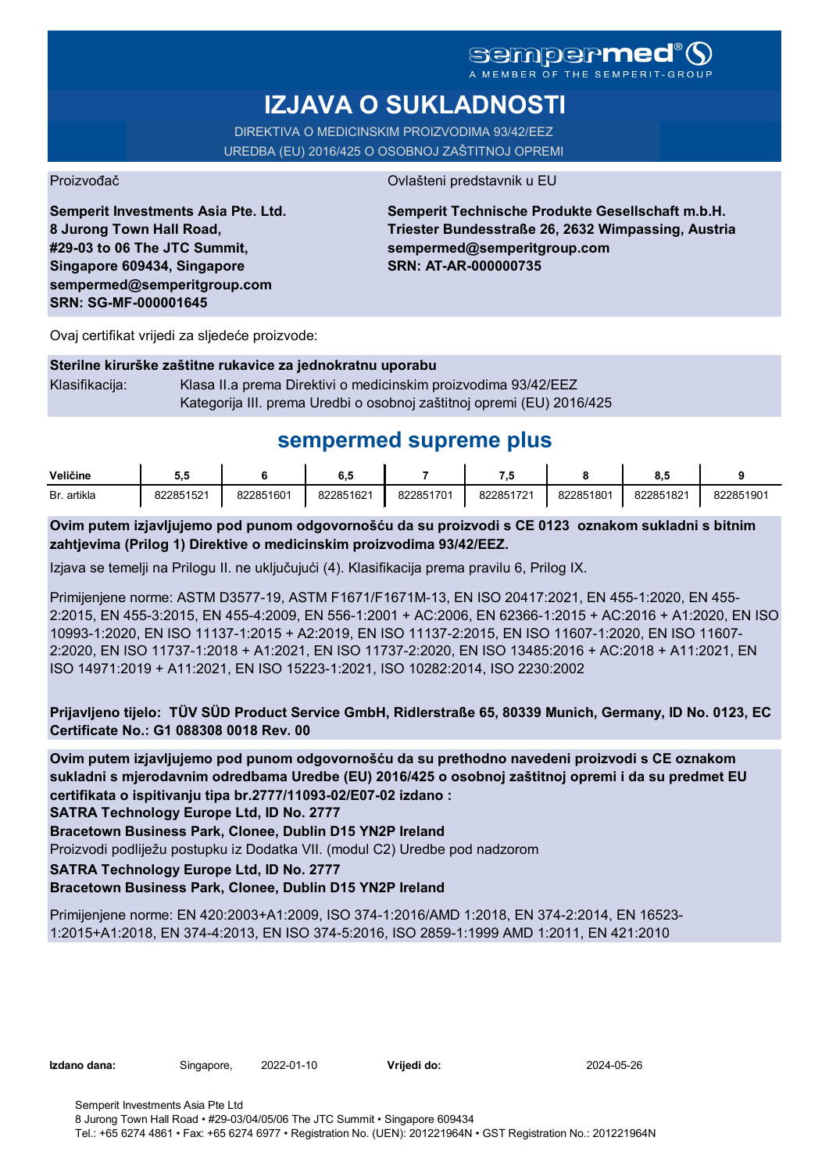# **sempermed**

A MEMBER OF THE

# **IZJAVA O SUKLADNOSTI**

DIREKTIVA O MEDICINSKIM PROIZVODIMA 93/42/EEZ UREDBA (EU) 2016/425 O OSOBNOJ ZAŠTITNOJ OPREMI

Proizvođač **Ovlašteni predstavnik u EU** 

**Semperit Investments Asia Pte. Ltd. 8 Jurong Town Hall Road, #29-03 to 06 The JTC Summit, Singapore 609434, Singapore sempermed@semperitgroup.com SRN: SG-MF-000001645**

**Semperit Technische Produkte Gesellschaft m.b.H. Triester Bundesstraße 26, 2632 Wimpassing, Austria sempermed@semperitgroup.com SRN: AT-AR-000000735**

Ovaj certifikat vrijedi za sljedeće proizvode:

## **Sterilne kirurške zaštitne rukavice za jednokratnu uporabu**

Klasifikacija: Klasa II.a prema Direktivi o medicinskim proizvodima 93/42/EEZ Kategorija III. prema Uredbi o osobnoj zaštitnoj opremi (EU) 2016/425

# **sempermed supreme plus**

| Veličine    | IJ.       |           | e<br>ο    |           | - 7       |           | ο         |           |
|-------------|-----------|-----------|-----------|-----------|-----------|-----------|-----------|-----------|
| Br. artikla | 822851521 | 822851601 | 822851621 | 822851701 | 822851721 | 822851801 | 822851821 | 822851901 |

**Ovim putem izjavljujemo pod punom odgovornošću da su proizvodi s CE 0123 oznakom sukladni s bitnim zahtjevima (Prilog 1) Direktive o medicinskim proizvodima 93/42/EEZ.**

Izjava se temelji na Prilogu II. ne uključujući (4). Klasifikacija prema pravilu 6, Prilog IX.

Primijenjene norme: ASTM D3577-19, ASTM F1671/F1671M-13, EN ISO 20417:2021, EN 455-1:2020, EN 455- 2:2015, EN 455-3:2015, EN 455-4:2009, EN 556-1:2001 + AC:2006, EN 62366-1:2015 + AC:2016 + A1:2020, EN ISO 10993-1:2020, EN ISO 11137-1:2015 + A2:2019, EN ISO 11137-2:2015, EN ISO 11607-1:2020, EN ISO 11607- 2:2020, EN ISO 11737-1:2018 + A1:2021, EN ISO 11737-2:2020, EN ISO 13485:2016 + AC:2018 + A11:2021, EN ISO 14971:2019 + A11:2021, EN ISO 15223-1:2021, ISO 10282:2014, ISO 2230:2002

**Prijavljeno tijelo: TÜV SÜD Product Service GmbH, Ridlerstraße 65, 80339 Munich, Germany, ID No. 0123, EC Certificate No.: G1 088308 0018 Rev. 00** 

**Ovim putem izjavljujemo pod punom odgovornošću da su prethodno navedeni proizvodi s CE oznakom sukladni s mjerodavnim odredbama Uredbe (EU) 2016/425 o osobnoj zaštitnoj opremi i da su predmet EU certifikata o ispitivanju tipa br.2777/11093-02/E07-02 izdano :**

**SATRA Technology Europe Ltd, ID No. 2777**

**Bracetown Business Park, Clonee, Dublin D15 YN2P Ireland**

Proizvodi podliježu postupku iz Dodatka VII. (modul C2) Uredbe pod nadzorom

**SATRA Technology Europe Ltd, ID No. 2777**

# **Bracetown Business Park, Clonee, Dublin D15 YN2P Ireland**

Primijenjene norme: EN 420:2003+A1:2009, ISO 374-1:2016/AMD 1:2018, EN 374-2:2014, EN 16523- 1:2015+A1:2018, EN 374-4:2013, EN ISO 374-5:2016, ISO 2859-1:1999 AMD 1:2011, EN 421:2010

| Izdano dana: |  |
|--------------|--|
|              |  |

**Izdano dana:** Singapore, 2022-01-10 **Vrijedi do:** 2024-05-26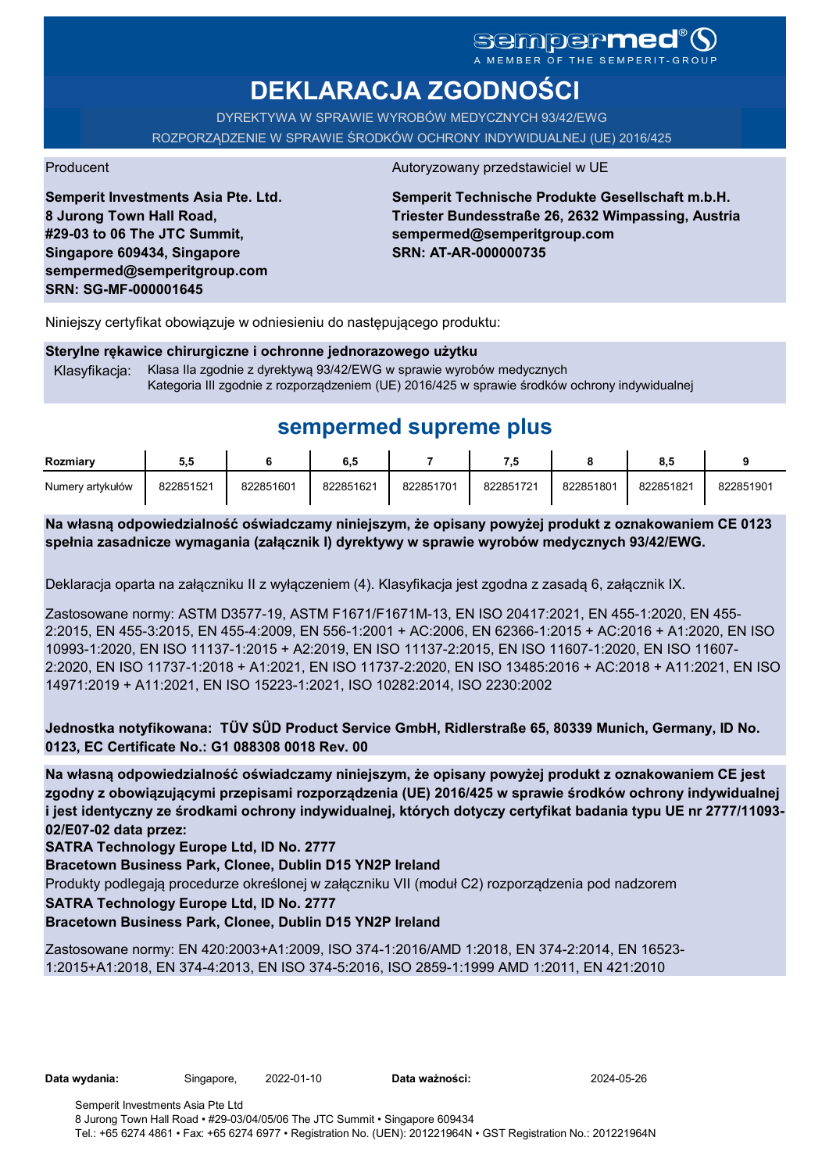# sempermed

**DEKLARACJA ZGODNOŚCI**

DYREKTYWA W SPRAWIE WYROBÓW MEDYCZNYCH 93/42/EWG ROZPORZĄDZENIE W SPRAWIE ŚRODKÓW OCHRONY INDYWIDUALNEJ (UE) 2016/425

**Semperit Investments Asia Pte. Ltd. 8 Jurong Town Hall Road, #29-03 to 06 The JTC Summit, Singapore 609434, Singapore sempermed@semperitgroup.com SRN: SG-MF-000001645**

#### Producent Autoryzowany przedstawiciel w UE

**Semperit Technische Produkte Gesellschaft m.b.H. Triester Bundesstraße 26, 2632 Wimpassing, Austria sempermed@semperitgroup.com SRN: AT-AR-000000735**

Niniejszy certyfikat obowiązuje w odniesieniu do następującego produktu:

#### **Sterylne rękawice chirurgiczne i ochronne jednorazowego użytku**

Klasyfikacja: Klasa IIa zgodnie z dyrektywą 93/42/EWG w sprawie wyrobów medycznych Kategoria III zgodnie z rozporządzeniem (UE) 2016/425 w sprawie środków ochrony indywidualnej

# **sempermed supreme plus**

| Rozmiarv         | ວ.ວ       |           | 6.5       |           | ن.        |           | 8.5       |           |
|------------------|-----------|-----------|-----------|-----------|-----------|-----------|-----------|-----------|
| Numery artykułów | 822851521 | 822851601 | 822851621 | 822851701 | 822851721 | 822851801 | 822851821 | 822851901 |

**Na własną odpowiedzialność oświadczamy niniejszym, że opisany powyżej produkt z oznakowaniem CE 0123 spełnia zasadnicze wymagania (załącznik I) dyrektywy w sprawie wyrobów medycznych 93/42/EWG.**

Deklaracja oparta na załączniku II z wyłączeniem (4). Klasyfikacja jest zgodna z zasadą 6, załącznik IX.

Zastosowane normy: ASTM D3577-19, ASTM F1671/F1671M-13, EN ISO 20417:2021, EN 455-1:2020, EN 455- 2:2015, EN 455-3:2015, EN 455-4:2009, EN 556-1:2001 + AC:2006, EN 62366-1:2015 + AC:2016 + A1:2020, EN ISO 10993-1:2020, EN ISO 11137-1:2015 + A2:2019, EN ISO 11137-2:2015, EN ISO 11607-1:2020, EN ISO 11607- 2:2020, EN ISO 11737-1:2018 + A1:2021, EN ISO 11737-2:2020, EN ISO 13485:2016 + AC:2018 + A11:2021, EN ISO 14971:2019 + A11:2021, EN ISO 15223-1:2021, ISO 10282:2014, ISO 2230:2002

**Jednostka notyfikowana: TÜV SÜD Product Service GmbH, Ridlerstraße 65, 80339 Munich, Germany, ID No. 0123, EC Certificate No.: G1 088308 0018 Rev. 00** 

**Na własną odpowiedzialność oświadczamy niniejszym, że opisany powyżej produkt z oznakowaniem CE jest zgodny z obowiązującymi przepisami rozporządzenia (UE) 2016/425 w sprawie środków ochrony indywidualnej i jest identyczny ze środkami ochrony indywidualnej, których dotyczy certyfikat badania typu UE nr 2777/11093- 02/E07-02 data przez:**

**SATRA Technology Europe Ltd, ID No. 2777**

**Bracetown Business Park, Clonee, Dublin D15 YN2P Ireland**

Produkty podlegają procedurze określonej w załączniku VII (moduł C2) rozporządzenia pod nadzorem

**SATRA Technology Europe Ltd, ID No. 2777**

## **Bracetown Business Park, Clonee, Dublin D15 YN2P Ireland**

Zastosowane normy: EN 420:2003+A1:2009, ISO 374-1:2016/AMD 1:2018, EN 374-2:2014, EN 16523- 1:2015+A1:2018, EN 374-4:2013, EN ISO 374-5:2016, ISO 2859-1:1999 AMD 1:2011, EN 421:2010

**Data wydania:** Singapore, 2022-01-10 **Data ważności:** 2024-05-26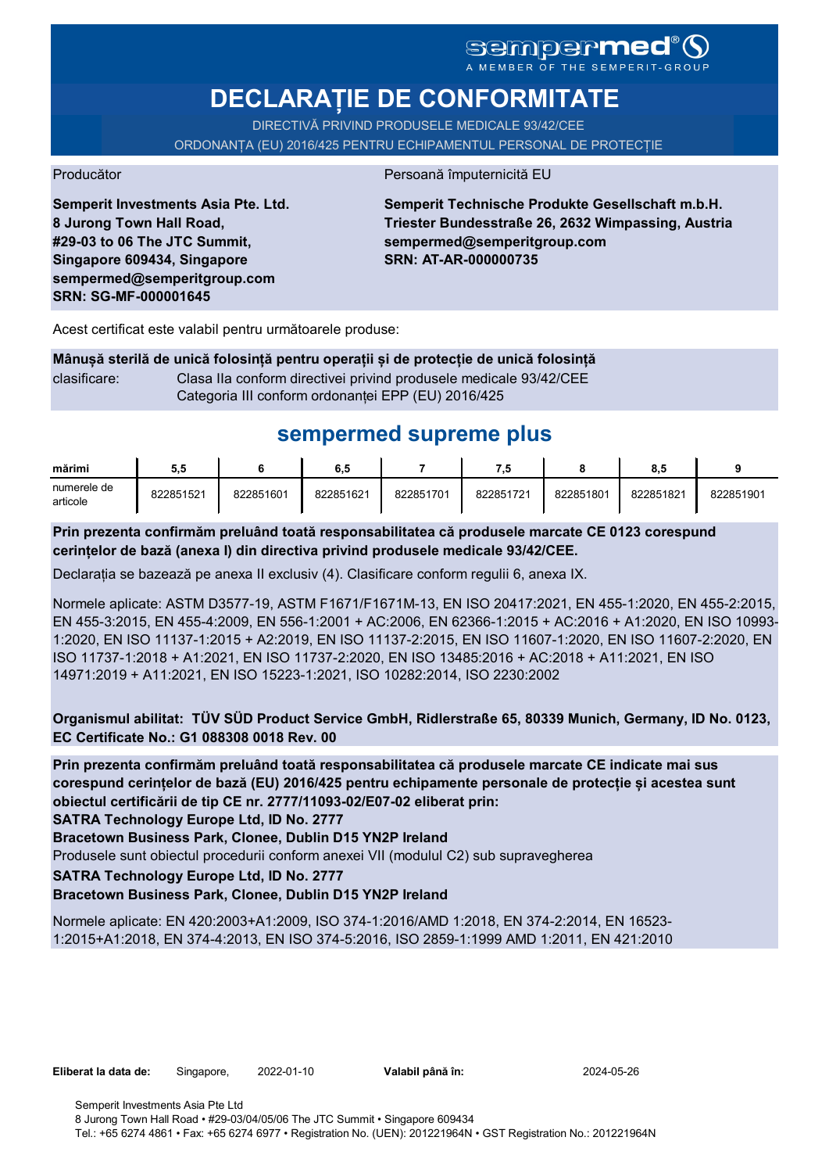# SGMDGPMEd<sup>®</sup>O

**DECLARAȚIE DE CONFORMITATE**

DIRECTIVĂ PRIVIND PRODUSELE MEDICALE 93/42/CEE

ORDONANȚA (EU) 2016/425 PENTRU ECHIPAMENTUL PERSONAL DE PROTECȚIE

Producător **Producător** Persoană împuternicită EU

**Semperit Investments Asia Pte. Ltd. 8 Jurong Town Hall Road, #29-03 to 06 The JTC Summit, Singapore 609434, Singapore sempermed@semperitgroup.com SRN: SG-MF-000001645**

**Semperit Technische Produkte Gesellschaft m.b.H. Triester Bundesstraße 26, 2632 Wimpassing, Austria sempermed@semperitgroup.com SRN: AT-AR-000000735**

Acest certificat este valabil pentru următoarele produse:

**Mânușă sterilă de unică folosință pentru operații și de protecție de unică folosință** clasificare: Clasa IIa conform directivei privind produsele medicale 93/42/CEE Categoria III conform ordonanței EPP (EU) 2016/425

# **sempermed supreme plus**

| mărimi                  | 5.5       |           | 6.5       |           | - 7       |           | 8.5       |           |
|-------------------------|-----------|-----------|-----------|-----------|-----------|-----------|-----------|-----------|
| numerele de<br>articole | 822851521 | 822851601 | 822851621 | 822851701 | 822851721 | 822851801 | 822851821 | 822851901 |

**Prin prezenta confirmăm preluând toată responsabilitatea că produsele marcate CE 0123 corespund cerințelor de bază (anexa I) din directiva privind produsele medicale 93/42/CEE.**

Declarația se bazează pe anexa II exclusiv (4). Clasificare conform regulii 6, anexa IX.

Normele aplicate: ASTM D3577-19, ASTM F1671/F1671M-13, EN ISO 20417:2021, EN 455-1:2020, EN 455-2:2015, EN 455-3:2015, EN 455-4:2009, EN 556-1:2001 + AC:2006, EN 62366-1:2015 + AC:2016 + A1:2020, EN ISO 10993- 1:2020, EN ISO 11137-1:2015 + A2:2019, EN ISO 11137-2:2015, EN ISO 11607-1:2020, EN ISO 11607-2:2020, EN ISO 11737-1:2018 + A1:2021, EN ISO 11737-2:2020, EN ISO 13485:2016 + AC:2018 + A11:2021, EN ISO 14971:2019 + A11:2021, EN ISO 15223-1:2021, ISO 10282:2014, ISO 2230:2002

**Organismul abilitat: TÜV SÜD Product Service GmbH, Ridlerstraße 65, 80339 Munich, Germany, ID No. 0123, EC Certificate No.: G1 088308 0018 Rev. 00** 

**Prin prezenta confirmăm preluând toată responsabilitatea că produsele marcate CE indicate mai sus corespund cerințelor de bază (EU) 2016/425 pentru echipamente personale de protecție și acestea sunt obiectul certificării de tip CE nr. 2777/11093-02/E07-02 eliberat prin:**

**SATRA Technology Europe Ltd, ID No. 2777**

**Bracetown Business Park, Clonee, Dublin D15 YN2P Ireland**

Produsele sunt obiectul procedurii conform anexei VII (modulul C2) sub supravegherea

**SATRA Technology Europe Ltd, ID No. 2777**

## **Bracetown Business Park, Clonee, Dublin D15 YN2P Ireland**

Normele aplicate: EN 420:2003+A1:2009, ISO 374-1:2016/AMD 1:2018, EN 374-2:2014, EN 16523- 1:2015+A1:2018, EN 374-4:2013, EN ISO 374-5:2016, ISO 2859-1:1999 AMD 1:2011, EN 421:2010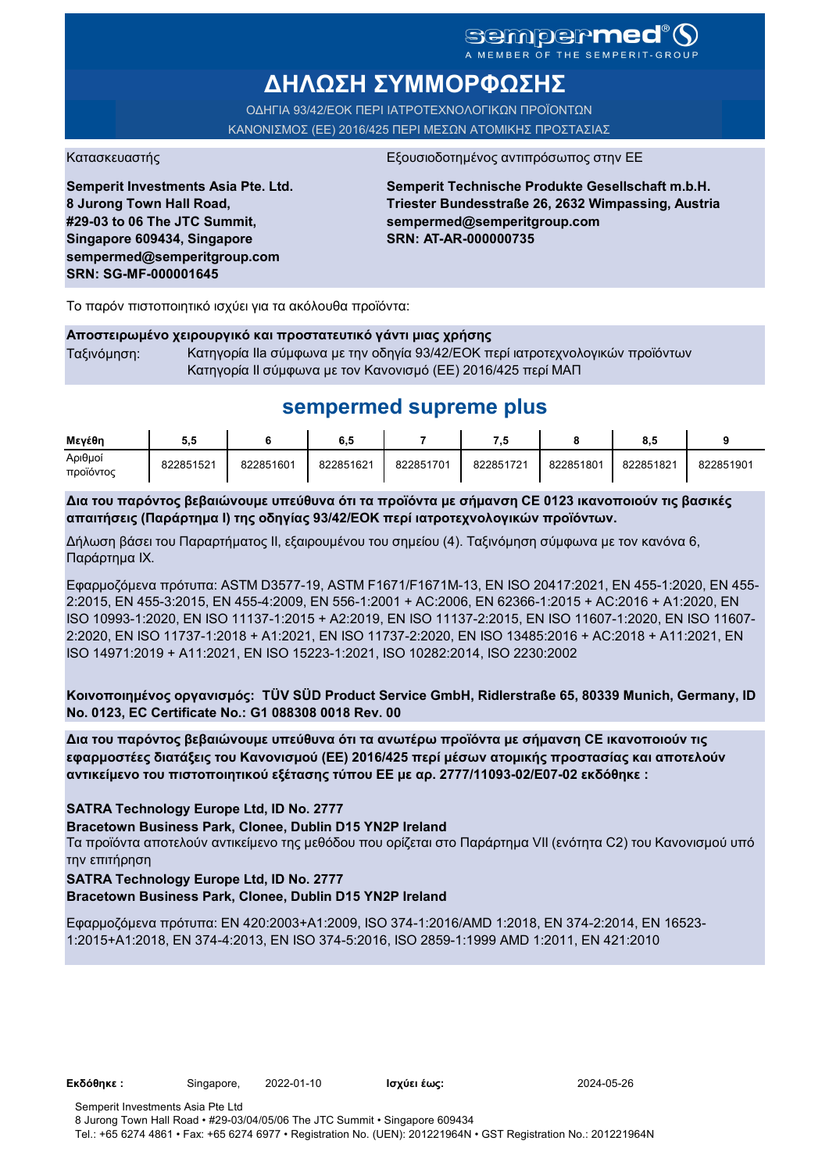## sempermed<sup>®</sup>Q A MEMBER OF THE SEMPERIT-GROUI

**ΔΗΛΩΣΗ ΣΥΜΜΟΡΦΩΣΗΣ**

ΟΔΗΓΙΑ 93/42/ΕΟΚ ΠΕΡΙ ΙΑΤΡΟΤΕΧΝΟΛΟΓΙΚΩΝ ΠΡΟΪΟΝΤΩΝ ΚΑΝΟΝΙΣΜΟΣ (ΕΕ) 2016/425 ΠΕΡΙ ΜΕΣΩΝ ΑΤΟΜΙΚΗΣ ΠΡΟΣΤΑΣΙΑΣ

Κατασκευαστής <u>Εξουσιοδοτημένος αντιπρόσωπος στην Ε</u>

**Semperit Investments Asia Pte. Ltd. 8 Jurong Town Hall Road, #29-03 to 06 The JTC Summit, Singapore 609434, Singapore sempermed@semperitgroup.com SRN: SG-MF-000001645**

**Semperit Technische Produkte Gesellschaft m.b.H. Triester Bundesstraße 26, 2632 Wimpassing, Austria sempermed@semperitgroup.com SRN: AT-AR-000000735**

Το παρόν πιστοποιητικό ισχύει για τα ακόλουθα προϊόντα:

#### **Αποστειρωμένο χειρουργικό και προστατευτικό γάντι μιας χρήσης**

Ταξινόμηση: Κατηγορία IIa σύμφωνα με την οδηγία 93/42/ΕΟΚ περί ιατροτεχνολογικών προϊόντων Κατηγορία II σύμφωνα με τον Κανονισμό (ΕΕ) 2016/425 περί ΜΑΠ

# **sempermed supreme plus**

| Μενέθη               | J.J       |           | 6,5       |           | - 33      |           | 8.t       |           |
|----------------------|-----------|-----------|-----------|-----------|-----------|-----------|-----------|-----------|
| Αριθμοί<br>προϊόντος | 822851521 | 822851601 | 822851621 | 822851701 | 822851721 | 822851801 | 822851821 | 822851901 |

**Δια του παρόντος βεβαιώνουμε υπεύθυνα ότι τα προϊόντα με σήμανση CE 0123 ικανοποιούν τις βασικές απαιτήσεις (Παράρτημα I) της οδηγίας 93/42/ΕΟΚ περί ιατροτεχνολογικών προϊόντων.**

Δήλωση βάσει του Παραρτήματος II, εξαιρουμένου του σημείου (4). Ταξινόμηση σύμφωνα με τον κανόνα 6, Παράρτημα IX.

Εφαρμοζόμενα πρότυπα: ASTM D3577-19, ASTM F1671/F1671M-13, EN ISO 20417:2021, EN 455-1:2020, EN 455- 2:2015, EN 455-3:2015, EN 455-4:2009, EN 556-1:2001 + AC:2006, EN 62366-1:2015 + AC:2016 + A1:2020, EN ISO 10993-1:2020, EN ISO 11137-1:2015 + A2:2019, EN ISO 11137-2:2015, EN ISO 11607-1:2020, EN ISO 11607- 2:2020, EN ISO 11737-1:2018 + A1:2021, EN ISO 11737-2:2020, EN ISO 13485:2016 + AC:2018 + A11:2021, EN ISO 14971:2019 + A11:2021, EN ISO 15223-1:2021, ISO 10282:2014, ISO 2230:2002

**Κοινοποιημένος οργανισμός: TÜV SÜD Product Service GmbH, Ridlerstraße 65, 80339 Munich, Germany, ID No. 0123, EC Certificate No.: G1 088308 0018 Rev. 00** 

**Δια του παρόντος βεβαιώνουμε υπεύθυνα ότι τα ανωτέρω προϊόντα με σήμανση CE ικανοποιούν τις εφαρμοστέες διατάξεις του Κανονισμού (ΕΕ) 2016/425 περί μέσων ατομικής προστασίας και αποτελούν αντικείμενο του πιστοποιητικού εξέτασης τύπου ΕΕ με αρ. 2777/11093-02/E07-02 εκδόθηκε :**

## **SATRA Technology Europe Ltd, ID No. 2777**

**Bracetown Business Park, Clonee, Dublin D15 YN2P Ireland**

Τα προϊόντα αποτελούν αντικείμενο της μεθόδου που ορίζεται στο Παράρτημα VII (ενότητα C2) του Κανονισμού υπό την επιτήρηση

## **SATRA Technology Europe Ltd, ID No. 2777**

#### **Bracetown Business Park, Clonee, Dublin D15 YN2P Ireland**

Εφαρμοζόμενα πρότυπα: EN 420:2003+A1:2009, ISO 374-1:2016/AMD 1:2018, EN 374-2:2014, EN 16523- 1:2015+A1:2018, EN 374-4:2013, EN ISO 374-5:2016, ISO 2859-1:1999 AMD 1:2011, EN 421:2010

**Εκδόθηκε :** Singapore, 2022-01-10 **Ισχύει έως:** 2024-05-26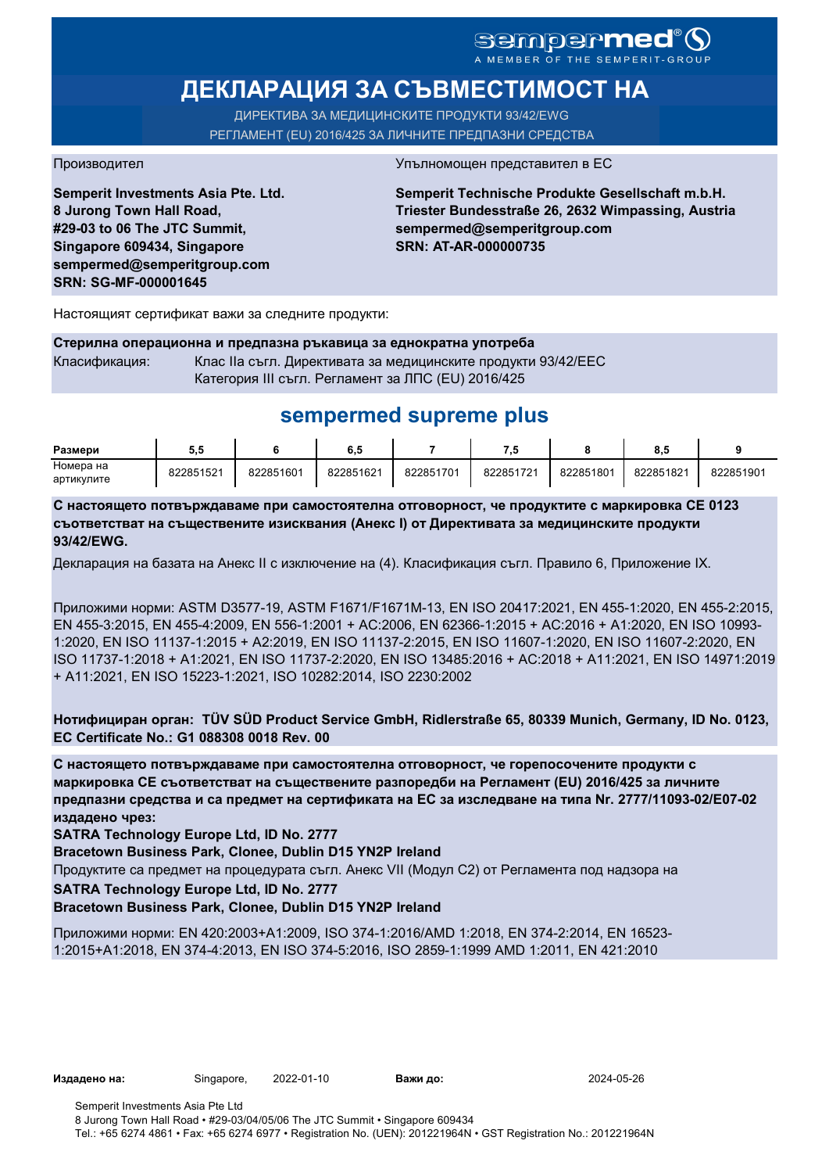# sempermed®

# **ДЕКЛАРАЦИЯ ЗА СЪВМЕСТИМОСТ НА**

ДИРЕКТИВА ЗА МЕДИЦИНСКИТЕ ПРОДУКТИ 93/42/EWG РЕГЛАМЕНТ (EU) 2016/425 ЗА ЛИЧНИТЕ ПРЕДПАЗНИ СРЕДСТВА

**Semperit Investments Asia Pte. Ltd. 8 Jurong Town Hall Road, #29-03 to 06 The JTC Summit, Singapore 609434, Singapore sempermed@semperitgroup.com SRN: SG-MF-000001645**

#### Производител Упълномощен представител в ЕС

**Semperit Technische Produkte Gesellschaft m.b.H. Triester Bundesstraße 26, 2632 Wimpassing, Austria sempermed@semperitgroup.com SRN: AT-AR-000000735**

Настоящият сертификат важи за следните продукти:

**Стерилна операционна и предпазна ръкавица за еднократна употреба** Класификация: Клас IIa съгл. Директивата за медицинските продукти 93/42/EEC Категория III съгл. Регламент за ЛПС (EU) 2016/425

# **sempermed supreme plus**

| Размери    | v.v       |           | o. J      |           |           |           | ο.υ       |           |
|------------|-----------|-----------|-----------|-----------|-----------|-----------|-----------|-----------|
| Номера на  | 822851521 | 822851601 | 822851621 | 822851701 | 822851721 | 822851801 | 822851821 | 822851901 |
| артикулите |           |           |           |           |           |           |           |           |

**С настоящето потвърждаваме при самостоятелна отговорност, че продуктите с маркировка СЕ 0123 съответстват на съществените изисквания (Анекс I) от Директивата за медицинските продукти 93/42/EWG.**

Декларация на базата на Анекс II с изключение на (4). Класификация съгл. Правило 6, Приложение IX.

Приложими норми: ASTM D3577-19, ASTM F1671/F1671M-13, EN ISO 20417:2021, EN 455-1:2020, EN 455-2:2015, EN 455-3:2015, EN 455-4:2009, EN 556-1:2001 + AC:2006, EN 62366-1:2015 + AC:2016 + A1:2020, EN ISO 10993- 1:2020, EN ISO 11137-1:2015 + A2:2019, EN ISO 11137-2:2015, EN ISO 11607-1:2020, EN ISO 11607-2:2020, EN ISO 11737-1:2018 + A1:2021, EN ISO 11737-2:2020, EN ISO 13485:2016 + AC:2018 + A11:2021, EN ISO 14971:2019 + A11:2021, EN ISO 15223-1:2021, ISO 10282:2014, ISO 2230:2002

**Нотифициран орган: TÜV SÜD Product Service GmbH, Ridlerstraße 65, 80339 Munich, Germany, ID No. 0123, EC Certificate No.: G1 088308 0018 Rev. 00** 

**С настоящето потвърждаваме при самостоятелна отговорност, че горепосочените продукти с маркировка СЕ съответстват на съществените разпоредби на Регламент (EU) 2016/425 за личните предпазни средства и са предмет на сертификата на ЕС за изследване на типа Nr. 2777/11093-02/E07-02 издадено чрез:**

**SATRA Technology Europe Ltd, ID No. 2777**

**Bracetown Business Park, Clonee, Dublin D15 YN2P Ireland**

Продуктите са предмет на процедурата съгл. Анекс VII (Модул С2) от Регламента под надзора на

**SATRA Technology Europe Ltd, ID No. 2777**

**Bracetown Business Park, Clonee, Dublin D15 YN2P Ireland**

Приложими норми: EN 420:2003+A1:2009, ISO 374-1:2016/AMD 1:2018, EN 374-2:2014, EN 16523- 1:2015+A1:2018, EN 374-4:2013, EN ISO 374-5:2016, ISO 2859-1:1999 AMD 1:2011, EN 421:2010